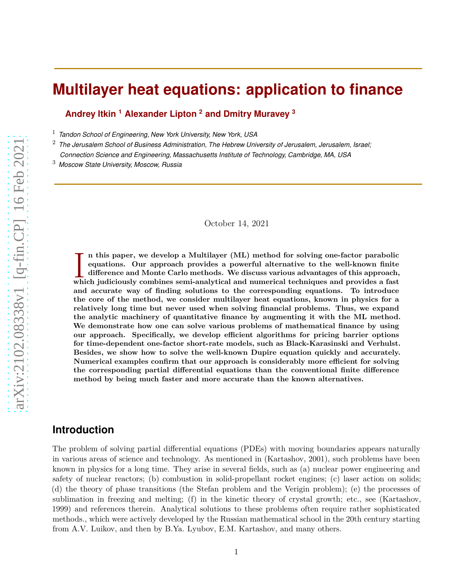# **Multilayer heat equations: application to finance**

**Andrey Itkin <sup>1</sup> Alexander Lipton <sup>2</sup> and Dmitry Muravey <sup>3</sup>**

<sup>1</sup> *Tandon School of Engineering, New York University, New York, USA*

<sup>2</sup> *The Jerusalem School of Business Administration, The Hebrew University of Jerusalem, Jerusalem, Israel; Connection Science and Engineering, Massachusetts Institute of Technology, Cambridge, MA, USA*

<sup>3</sup> *Moscow State University, Moscow, Russia*

#### October 14, 2021

I **n this paper, we develop a Multilayer (ML) method for solving one-factor parabolic equations. Our approach provides a powerful alternative to the well-known finite difference and Monte Carlo methods. We discuss various advantages of this approach, which judiciously combines semi-analytical and numerical techniques and provides a fast and accurate way of finding solutions to the corresponding equations. To introduce the core of the method, we consider multilayer heat equations, known in physics for a relatively long time but never used when solving financial problems. Thus, we expand the analytic machinery of quantitative finance by augmenting it with the ML method. We demonstrate how one can solve various problems of mathematical finance by using our approach. Specifically, we develop efficient algorithms for pricing barrier options for time-dependent one-factor short-rate models, such as Black-Karasinski and Verhulst. Besides, we show how to solve the well-known Dupire equation quickly and accurately. Numerical examples confirm that our approach is considerably more efficient for solving the corresponding partial differential equations than the conventional finite difference method by being much faster and more accurate than the known alternatives.**

### **Introduction**

The problem of solving partial differential equations (PDEs) with moving boundaries appears naturally in various areas of science and technology. As mentioned in (Kartashov, 2001), such problems have been known in physics for a long time. They arise in several fields, such as (a) nuclear power engineering and safety of nuclear reactors; (b) combustion in solid-propellant rocket engines; (c) laser action on solids; (d) the theory of phase transitions (the Stefan problem and the Verigin problem); (e) the processes of sublimation in freezing and melting; (f) in the kinetic theory of crystal growth; etc., see (Kartashov, 1999) and references therein. Analytical solutions to these problems often require rather sophisticated methods., which were actively developed by the Russian mathematical school in the 20th century starting from A.V. Luikov, and then by B.Ya. Lyubov, E.M. Kartashov, and many others.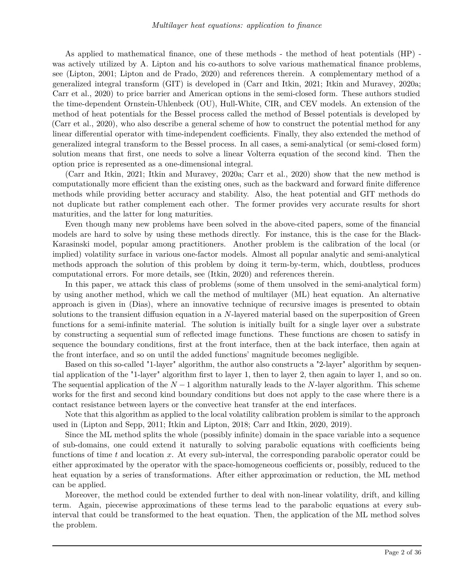As applied to mathematical finance, one of these methods - the method of heat potentials (HP) was actively utilized by A. Lipton and his co-authors to solve various mathematical finance problems, see (Lipton, 2001; Lipton and de Prado, 2020) and references therein. A complementary method of a generalized integral transform (GIT) is developed in (Carr and Itkin, 2021; Itkin and Muravey, 2020a; Carr et al., 2020) to price barrier and American options in the semi-closed form. These authors studied the time-dependent Ornstein-Uhlenbeck (OU), Hull-White, CIR, and CEV models. An extension of the method of heat potentials for the Bessel process called the method of Bessel potentials is developed by (Carr et al., 2020), who also describe a general scheme of how to construct the potential method for any linear differential operator with time-independent coefficients. Finally, they also extended the method of generalized integral transform to the Bessel process. In all cases, a semi-analytical (or semi-closed form) solution means that first, one needs to solve a linear Volterra equation of the second kind. Then the option price is represented as a one-dimensional integral.

(Carr and Itkin, 2021; Itkin and Muravey, 2020a; Carr et al., 2020) show that the new method is computationally more efficient than the existing ones, such as the backward and forward finite difference methods while providing better accuracy and stability. Also, the heat potential and GIT methods do not duplicate but rather complement each other. The former provides very accurate results for short maturities, and the latter for long maturities.

Even though many new problems have been solved in the above-cited papers, some of the financial models are hard to solve by using these methods directly. For instance, this is the case for the Black-Karasinski model, popular among practitioners. Another problem is the calibration of the local (or implied) volatility surface in various one-factor models. Almost all popular analytic and semi-analytical methods approach the solution of this problem by doing it term-by-term, which, doubtless, produces computational errors. For more details, see (Itkin, 2020) and references therein.

In this paper, we attack this class of problems (some of them unsolved in the semi-analytical form) by using another method, which we call the method of multilayer (ML) heat equation. An alternative approach is given in (Dias), where an innovative technique of recursive images is presented to obtain solutions to the transient diffusion equation in a *N*-layered material based on the superposition of Green functions for a semi-infinite material. The solution is initially built for a single layer over a substrate by constructing a sequential sum of reflected image functions. These functions are chosen to satisfy in sequence the boundary conditions, first at the front interface, then at the back interface, then again at the front interface, and so on until the added functions' magnitude becomes negligible.

Based on this so-called "1-layer" algorithm, the author also constructs a "2-layer" algorithm by sequential application of the "1-layer" algorithm first to layer 1, then to layer 2, then again to layer 1, and so on. The sequential application of the *N* − 1 algorithm naturally leads to the *N*-layer algorithm. This scheme works for the first and second kind boundary conditions but does not apply to the case where there is a contact resistance between layers or the convective heat transfer at the end interfaces.

Note that this algorithm as applied to the local volatility calibration problem is similar to the approach used in (Lipton and Sepp, 2011; Itkin and Lipton, 2018; Carr and Itkin, 2020, 2019).

Since the ML method splits the whole (possibly infinite) domain in the space variable into a sequence of sub-domains, one could extend it naturally to solving parabolic equations with coefficients being functions of time *t* and location *x*. At every sub-interval, the corresponding parabolic operator could be either approximated by the operator with the space-homogeneous coefficients or, possibly, reduced to the heat equation by a series of transformations. After either approximation or reduction, the ML method can be applied.

Moreover, the method could be extended further to deal with non-linear volatility, drift, and killing term. Again, piecewise approximations of these terms lead to the parabolic equations at every subinterval that could be transformed to the heat equation. Then, the application of the ML method solves the problem.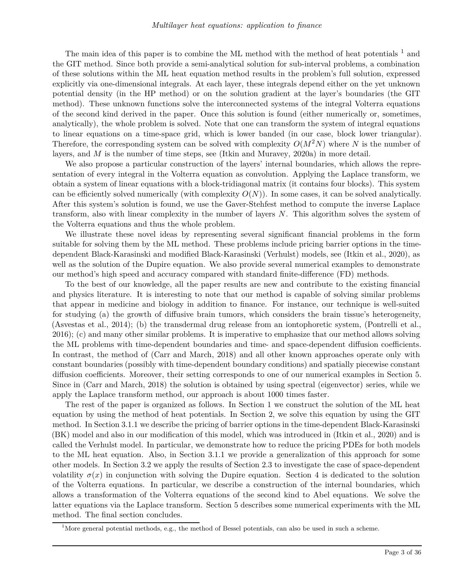The main idea of this paper is to combine the ML method with the method of heat potentials  $<sup>1</sup>$  and</sup> the GIT method. Since both provide a semi-analytical solution for sub-interval problems, a combination of these solutions within the ML heat equation method results in the problem's full solution, expressed explicitly via one-dimensional integrals. At each layer, these integrals depend either on the yet unknown potential density (in the HP method) or on the solution gradient at the layer's boundaries (the GIT method). These unknown functions solve the interconnected systems of the integral Volterra equations of the second kind derived in the paper. Once this solution is found (either numerically or, sometimes, analytically), the whole problem is solved. Note that one can transform the system of integral equations to linear equations on a time-space grid, which is lower banded (in our case, block lower triangular). Therefore, the corresponding system can be solved with complexity  $O(M^2N)$  where N is the number of layers, and *M* is the number of time steps, see (Itkin and Muravey, 2020a) in more detail.

We also propose a particular construction of the layers' internal boundaries, which allows the representation of every integral in the Volterra equation as convolution. Applying the Laplace transform, we obtain a system of linear equations with a block-tridiagonal matrix (it contains four blocks). This system can be efficiently solved numerically (with complexity  $O(N)$ ). In some cases, it can be solved analytically. After this system's solution is found, we use the Gaver-Stehfest method to compute the inverse Laplace transform, also with linear complexity in the number of layers *N*. This algorithm solves the system of the Volterra equations and thus the whole problem.

We illustrate these novel ideas by representing several significant financial problems in the form suitable for solving them by the ML method. These problems include pricing barrier options in the timedependent Black-Karasinski and modified Black-Karasinski (Verhulst) models, see (Itkin et al., 2020), as well as the solution of the Dupire equation. We also provide several numerical examples to demonstrate our method's high speed and accuracy compared with standard finite-difference (FD) methods.

To the best of our knowledge, all the paper results are new and contribute to the existing financial and physics literature. It is interesting to note that our method is capable of solving similar problems that appear in medicine and biology in addition to finance. For instance, our technique is well-suited for studying (a) the growth of diffusive brain tumors, which considers the brain tissue's heterogeneity, (Asvestas et al., 2014); (b) the transdermal drug release from an iontophoretic system, (Pontrelli et al., 2016); (c) and many other similar problems. It is imperative to emphasize that our method allows solving the ML problems with time-dependent boundaries and time- and space-dependent diffusion coefficients. In contrast, the method of (Carr and March, 2018) and all other known approaches operate only with constant boundaries (possibly with time-dependent boundary conditions) and spatially piecewise constant diffusion coefficients. Moreover, their setting corresponds to one of our numerical examples in Section 5. Since in (Carr and March, 2018) the solution is obtained by using spectral (eigenvector) series, while we apply the Laplace transform method, our approach is about 1000 times faster.

The rest of the paper is organized as follows. In Section 1 we construct the solution of the ML heat equation by using the method of heat potentials. In Section 2, we solve this equation by using the GIT method. In Section 3.1.1 we describe the pricing of barrier options in the time-dependent Black-Karasinski (BK) model and also in our modification of this model, which was introduced in (Itkin et al., 2020) and is called the Verhulst model. In particular, we demonstrate how to reduce the pricing PDEs for both models to the ML heat equation. Also, in Section 3.1.1 we provide a generalization of this approach for some other models. In Section 3.2 we apply the results of Section 2.3 to investigate the case of space-dependent volatility  $\sigma(x)$  in conjunction with solving the Dupire equation. Section 4 is dedicated to the solution of the Volterra equations. In particular, we describe a construction of the internal boundaries, which allows a transformation of the Volterra equations of the second kind to Abel equations. We solve the latter equations via the Laplace transform. Section 5 describes some numerical experiments with the ML method. The final section concludes.

<sup>&</sup>lt;sup>1</sup>More general potential methods, e.g., the method of Bessel potentials, can also be used in such a scheme.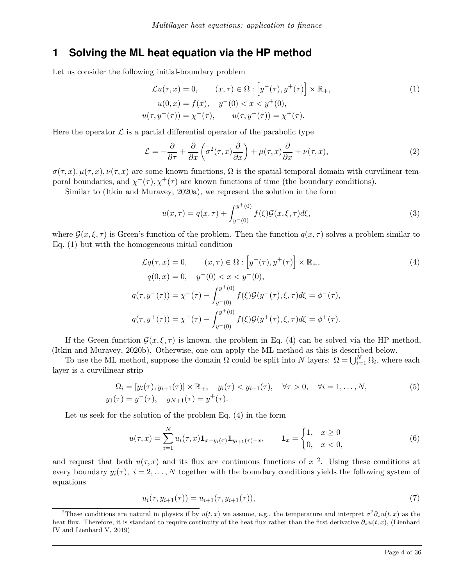### **1 Solving the ML heat equation via the HP method**

Let us consider the following initial-boundary problem

$$
\mathcal{L}u(\tau, x) = 0, \qquad (x, \tau) \in \Omega : [y^-(\tau), y^+(\tau)] \times \mathbb{R}_+,
$$
  
\n
$$
u(0, x) = f(x), \quad y^-(0) < x < y^+(0),
$$
  
\n
$$
u(\tau, y^-(\tau)) = \chi^-(\tau), \qquad u(\tau, y^+(\tau)) = \chi^+(\tau).
$$
\n(1)

Here the operator  $\mathcal L$  is a partial differential operator of the parabolic type

$$
\mathcal{L} = -\frac{\partial}{\partial \tau} + \frac{\partial}{\partial x} \left( \sigma^2(\tau, x) \frac{\partial}{\partial x} \right) + \mu(\tau, x) \frac{\partial}{\partial x} + \nu(\tau, x), \tag{2}
$$

 $\sigma(\tau, x)$ ,  $\mu(\tau, x)$ ,  $\nu(\tau, x)$  are some known functions,  $\Omega$  is the spatial-temporal domain with curvilinear temporal boundaries, and  $\chi^-(\tau), \chi^+(\tau)$  are known functions of time (the boundary conditions).

Similar to (Itkin and Muravey, 2020a), we represent the solution in the form

$$
u(x,\tau) = q(x,\tau) + \int_{y^-(0)}^{y^+(0)} f(\xi) \mathcal{G}(x,\xi,\tau) d\xi,
$$
\n(3)

where  $\mathcal{G}(x,\xi,\tau)$  is Green's function of the problem. Then the function  $q(x,\tau)$  solves a problem similar to Eq. (1) but with the homogeneous initial condition

$$
\mathcal{L}q(\tau, x) = 0, \qquad (x, \tau) \in \Omega : [y^-(\tau), y^+(\tau)] \times \mathbb{R}_+,
$$
  
\n
$$
q(0, x) = 0, \quad y^-(0) < x < y^+(0),
$$
  
\n
$$
q(\tau, y^-(\tau)) = \chi^-(\tau) - \int_{y^-(0)}^{y^+(0)} f(\xi) \mathcal{G}(y^-(\tau), \xi, \tau) d\xi = \phi^-(\tau),
$$
  
\n
$$
q(\tau, y^+(\tau)) = \chi^+(\tau) - \int_{y^-(0)}^{y^+(0)} f(\xi) \mathcal{G}(y^+(\tau), \xi, \tau) d\xi = \phi^+(\tau).
$$
\n(4)

If the Green function  $\mathcal{G}(x,\xi,\tau)$  is known, the problem in Eq. (4) can be solved via the HP method, (Itkin and Muravey, 2020b). Otherwise, one can apply the ML method as this is described below.

To use the ML method, suppose the domain  $\Omega$  could be split into *N* layers:  $\Omega = \bigcup_{i=1}^{N} \Omega_i$ , where each layer is a curvilinear strip

$$
\Omega_i = [y_i(\tau), y_{i+1}(\tau)] \times \mathbb{R}_+, \quad y_i(\tau) < y_{i+1}(\tau), \quad \forall \tau > 0, \quad \forall i = 1, \dots, N, \\
y_1(\tau) = y^-(\tau), \quad y_{N+1}(\tau) = y^+(\tau).
$$
\n(5)

Let us seek for the solution of the problem Eq. (4) in the form

$$
u(\tau, x) = \sum_{i=1}^{N} u_i(\tau, x) \mathbf{1}_{x - y_i(\tau)} \mathbf{1}_{y_{i+1}(\tau) - x}, \qquad \mathbf{1}_x = \begin{cases} 1, & x \ge 0 \\ 0, & x < 0, \end{cases} \tag{6}
$$

and request that both  $u(\tau, x)$  and its flux are continuous functions of  $x^2$ . Using these conditions at every boundary  $y_i(\tau)$ ,  $i = 2, ..., N$  together with the boundary conditions yields the following system of equations

$$
u_i(\tau, y_{i+1}(\tau)) = u_{i+1}(\tau, y_{i+1}(\tau)), \tag{7}
$$

<sup>&</sup>lt;sup>2</sup>These conditions are natural in physics if by  $u(t, x)$  we assume, e.g., the temperature and interpret  $\sigma^2 \partial_x u(t, x)$  as the heat flux. Therefore, it is standard to require continuity of the heat flux rather than the first derivative  $\partial_x u(t, x)$ , (Lienhard IV and Lienhard V, 2019)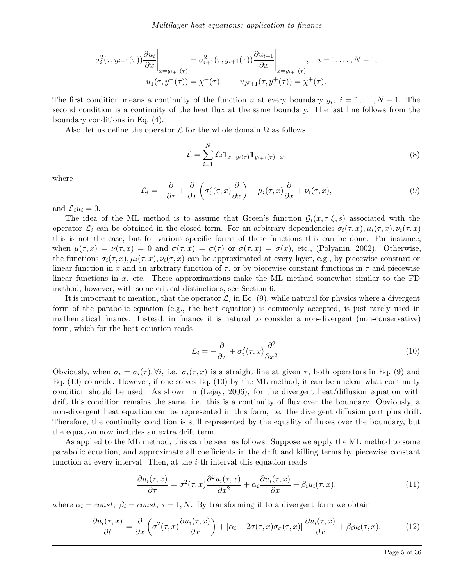$$
\sigma_i^2(\tau, y_{i+1}(\tau)) \frac{\partial u_i}{\partial x}\Big|_{x=y_{i+1}(\tau)} = \sigma_{i+1}^2(\tau, y_{i+1}(\tau)) \frac{\partial u_{i+1}}{\partial x}\Big|_{x=y_{i+1}(\tau)}, \quad i = 1, ..., N-1,
$$
  

$$
u_1(\tau, y^-(\tau)) = \chi^-(\tau), \qquad u_{N+1}(\tau, y^+(\tau)) = \chi^+(\tau).
$$

The first condition means a continuity of the function *u* at every boundary  $y_i$ ,  $i = 1, ..., N - 1$ . The second condition is a continuity of the heat flux at the same boundary. The last line follows from the boundary conditions in Eq. (4).

Also, let us define the operator  $\mathcal L$  for the whole domain  $\Omega$  as follows

$$
\mathcal{L} = \sum_{i=1}^{N} \mathcal{L}_i \mathbf{1}_{x - y_i(\tau)} \mathbf{1}_{y_{i+1}(\tau) - x},
$$
\n(8)

where

$$
\mathcal{L}_i = -\frac{\partial}{\partial \tau} + \frac{\partial}{\partial x} \left( \sigma_i^2(\tau, x) \frac{\partial}{\partial x} \right) + \mu_i(\tau, x) \frac{\partial}{\partial x} + \nu_i(\tau, x), \tag{9}
$$

and  $\mathcal{L}_i u_i = 0$ .

The idea of the ML method is to assume that Green's function  $\mathcal{G}_i(x, \tau | \xi, s)$  associated with the operator  $\mathcal{L}_i$  can be obtained in the closed form. For an arbitrary dependencies  $\sigma_i(\tau, x)$ ,  $\mu_i(\tau, x)$ ,  $\nu_i(\tau, x)$ this is not the case, but for various specific forms of these functions this can be done. For instance, when  $\mu(\tau, x) = \nu(\tau, x) = 0$  and  $\sigma(\tau, x) = \sigma(\tau)$  or  $\sigma(\tau, x) = \sigma(x)$ , etc., (Polyanin, 2002). Otherwise, the functions  $\sigma_i(\tau, x)$ ,  $\mu_i(\tau, x)$ ,  $\nu_i(\tau, x)$  can be approximated at every layer, e.g., by piecewise constant or linear function in *x* and an arbitrary function of  $\tau$ , or by piecewise constant functions in  $\tau$  and piecewise linear functions in *x*, etc. These approximations make the ML method somewhat similar to the FD method, however, with some critical distinctions, see Section 6.

It is important to mention, that the operator  $\mathcal{L}_i$  in Eq. (9), while natural for physics where a divergent form of the parabolic equation (e.g., the heat equation) is commonly accepted, is just rarely used in mathematical finance. Instead, in finance it is natural to consider a non-divergent (non-conservative) form, which for the heat equation reads

$$
\mathcal{L}_i = -\frac{\partial}{\partial \tau} + \sigma_i^2(\tau, x) \frac{\partial^2}{\partial x^2}.
$$
\n(10)

Obviously, when  $\sigma_i = \sigma_i(\tau)$ ,  $\forall i$ , i.e.  $\sigma_i(\tau, x)$  is a straight line at given  $\tau$ , both operators in Eq. (9) and Eq. (10) coincide. However, if one solves Eq. (10) by the ML method, it can be unclear what continuity condition should be used. As shown in (Lejay, 2006), for the divergent heat/diffusion equation with drift this condition remains the same, i.e. this is a continuity of flux over the boundary. Obviously, a non-divergent heat equation can be represented in this form, i.e. the divergent diffusion part plus drift. Therefore, the continuity condition is still represented by the equality of fluxes over the boundary, but the equation now includes an extra drift term.

As applied to the ML method, this can be seen as follows. Suppose we apply the ML method to some parabolic equation, and approximate all coefficients in the drift and killing terms by piecewise constant function at every interval. Then, at the *i*-th interval this equation reads

$$
\frac{\partial u_i(\tau, x)}{\partial \tau} = \sigma^2(\tau, x) \frac{\partial^2 u_i(\tau, x)}{\partial x^2} + \alpha_i \frac{\partial u_i(\tau, x)}{\partial x} + \beta_i u_i(\tau, x), \tag{11}
$$

where  $\alpha_i = const, \ \beta_i = const, \ i = 1, N$ . By transforming it to a divergent form we obtain

$$
\frac{\partial u_i(\tau, x)}{\partial t} = \frac{\partial}{\partial x} \left( \sigma^2(\tau, x) \frac{\partial u_i(\tau, x)}{\partial x} \right) + \left[ \alpha_i - 2\sigma(\tau, x) \sigma_x(\tau, x) \right] \frac{\partial u_i(\tau, x)}{\partial x} + \beta_i u_i(\tau, x). \tag{12}
$$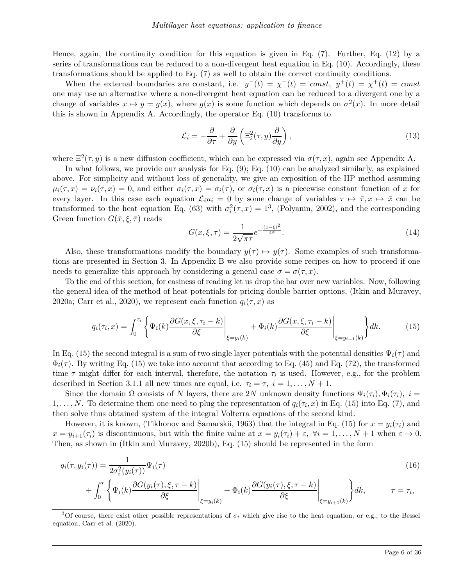Hence, again, the continuity condition for this equation is given in Eq. (7). Further, Eq. (12) by a series of transformations can be reduced to a non-divergent heat equation in Eq. (10). Accordingly, these transformations should be applied to Eq. (7) as well to obtain the correct continuity conditions.

When the external boundaries are constant, i.e.  $y^-(t) = \chi^-(t) = const$ ,  $y^+(t) = \chi^+(t) = const$ one may use an alternative where a non-divergent heat equation can be reduced to a divergent one by a change of variables  $x \mapsto y = g(x)$ , where  $g(x)$  is some function which depends on  $\sigma^2(x)$ . In more detail this is shown in Appendix A. Accordingly, the operator Eq. (10) transforms to

$$
\mathcal{L}_i = -\frac{\partial}{\partial \tau} + \frac{\partial}{\partial y} \left( \Xi_i^2(\tau, y) \frac{\partial}{\partial y} \right),\tag{13}
$$

where  $\Xi^2(\tau, y)$  is a new diffusion coefficient, which can be expressed via  $\sigma(\tau, x)$ , again see Appendix A.

In what follows, we provide our analysis for Eq. (9); Eq. (10) can be analyzed similarly, as explained above. For simplicity and without loss of generality, we give an exposition of the HP method assuming  $\mu_i(\tau, x) = \nu_i(\tau, x) = 0$ , and either  $\sigma_i(\tau, x) = \sigma_i(\tau)$ , or  $\sigma_i(\tau, x)$  is a piecewise constant function of *x* for every layer. In this case each equation  $\mathcal{L}_i u_i = 0$  by some change of variables  $\tau \mapsto \bar{\tau}, x \mapsto \bar{x}$  can be transformed to the heat equation Eq. (63) with  $\sigma_i^2(\bar{\tau}, \bar{x}) = 1^3$ , (Polyanin, 2002), and the corresponding Green function  $G(\bar{x}, \xi, \bar{\tau})$  reads

$$
G(\bar{x}, \xi, \bar{\tau}) = \frac{1}{2\sqrt{\pi\bar{\tau}}}e^{-\frac{(\bar{x} - \xi)^2}{4\bar{\tau}}}.
$$
\n(14)

Also, these transformations modify the boundary  $y(\tau) \mapsto \bar{y}(\bar{\tau})$ . Some examples of such transformations are presented in Section 3. In Appendix B we also provide some recipes on how to proceed if one needs to generalize this approach by considering a general case  $\sigma = \sigma(\tau, x)$ .

To the end of this section, for easiness of reading let us drop the bar over new variables. Now, following the general idea of the method of heat potentials for pricing double barrier options, (Itkin and Muravey, 2020a; Carr et al., 2020), we represent each function  $q_i(\tau, x)$  as

$$
q_i(\tau_i, x) = \int_0^{\tau_i} \left\{ \Psi_i(k) \frac{\partial G(x, \xi, \tau_i - k)}{\partial \xi} \bigg|_{\xi = y_i(k)} + \Phi_i(k) \frac{\partial G(x, \xi, \tau_i - k)}{\partial \xi} \bigg|_{\xi = y_{i+1}(k)} \right\} dk. \tag{15}
$$

In Eq. (15) the second integral is a sum of two single layer potentials with the potential densities  $\Psi_i(\tau)$  and  $\Phi_i(\tau)$ . By writing Eq. (15) we take into account that according to Eq. (45) and Eq. (72), the transformed time  $\tau$  might differ for each interval, therefore, the notation  $\tau_i$  is used. However, e.g., for the problem described in Section 3.1.1 all new times are equal, i.e.  $\tau_i = \tau$ ,  $i = 1, \ldots, N + 1$ .

Since the domain  $\Omega$  consists of *N* layers, there are 2*N* unknown density functions  $\Psi_i(\tau_i), \Phi_i(\tau_i), i =$ 1, ..., N. To determine them one need to plug the representation of  $q_i(\tau_i, x)$  in Eq. (15) into Eq. (7), and then solve thus obtained system of the integral Volterra equations of the second kind.

However, it is known, (Tikhonov and Samarskii, 1963) that the integral in Eq. (15) for  $x = y_i(\tau_i)$  and  $x = y_{i+1}(\tau_i)$  is discontinuous, but with the finite value at  $x = y_i(\tau_i) + \varepsilon$ ,  $\forall i = 1, ..., N + 1$  when  $\varepsilon \to 0$ . Then, as shown in (Itkin and Muravey, 2020b), Eq. (15) should be represented in the form

$$
q_i(\tau, y_i(\tau)) = \frac{1}{2\sigma_i^2(y_i(\tau))} \Psi_i(\tau)
$$
  
+ 
$$
\int_0^{\tau} \left\{ \Psi_i(k) \frac{\partial G(y_i(\tau), \xi, \tau - k)}{\partial \xi} \Big|_{\xi = y_i(k)} + \Phi_i(k) \frac{\partial G(y_i(\tau), \xi, \tau - k)}{\partial \xi} \Big|_{\xi = y_{i+1}(k)} \right\} dk, \qquad \tau = \tau_i,
$$
 (16)

<sup>3</sup>Of course, there exist other possible representations of  $\sigma_i$  which give rise to the heat equation, or e.g., to the Bessel equation, Carr et al. (2020).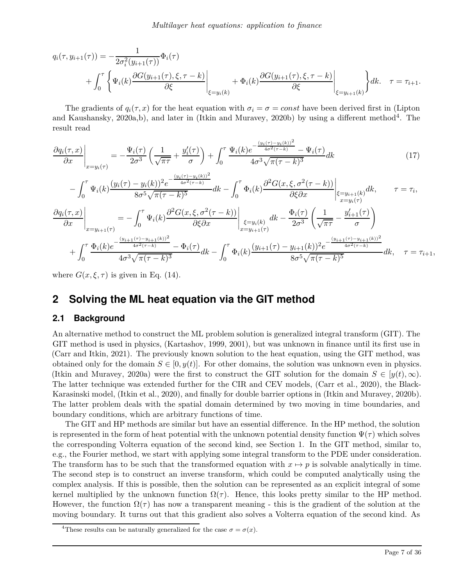$$
q_i(\tau, y_{i+1}(\tau)) = -\frac{1}{2\sigma_i^2(y_{i+1}(\tau))}\Phi_i(\tau) + \int_0^{\tau} \left\{ \Psi_i(k) \frac{\partial G(y_{i+1}(\tau), \xi, \tau - k)}{\partial \xi} \Big|_{\xi = y_i(k)} + \Phi_i(k) \frac{\partial G(y_{i+1}(\tau), \xi, \tau - k)}{\partial \xi} \Big|_{\xi = y_{i+1}(k)} \right\} dk. \quad \tau = \tau_{i+1}.
$$

The gradients of  $q_i(\tau, x)$  for the heat equation with  $\sigma_i = \sigma = const$  have been derived first in (Lipton and Kaushansky, 2020a,b), and later in (Itkin and Muravey, 2020b) by using a different method<sup>4</sup>. The result read

$$
\frac{\partial q_i(\tau, x)}{\partial x}\bigg|_{x=y_i(\tau)} = -\frac{\Psi_i(\tau)}{2\sigma^3} \left(\frac{1}{\sqrt{\pi\tau}} + \frac{y_i'(\tau)}{\sigma}\right) + \int_0^\tau \frac{\Psi_i(k)e^{-\frac{(y_i(\tau) - y_i(k))^2}{4\sigma^2(\tau - k)}} - \Psi_i(\tau)}{4\sigma^3 \sqrt{\pi(\tau - k)^3}} dk\tag{17}
$$

$$
-\int_0^\tau \Psi_i(k) \frac{(y_i(\tau) - y_i(k))^2 e^{-\frac{(y_i(\tau) - y_i(k))^2}{4\sigma^2(\tau - k)}}}{8\sigma^5 \sqrt{\pi(\tau - k)^5}} dk - \int_0^\tau \Phi_i(k) \frac{\partial^2 G(x, \xi, \sigma^2(\tau - k))}{\partial \xi \partial x} \Big|_{\substack{\xi = y_{i+1}(k) \\ x = y_i(\tau)}} dk, \qquad \tau = \tau_i,
$$

$$
\frac{\partial q_i(\tau, x)}{\partial x}\Big|_{x=y_{i+1}(\tau)} = -\int_0^\tau \Psi_i(k) \frac{\partial^2 G(x, \xi, \sigma^2(\tau - k))}{\partial \xi \partial x}\Big|_{\substack{\xi = y_i(k) \\ x=y_{i+1}(\tau)}} dk - \frac{\Phi_i(\tau)}{2\sigma^3} \left(\frac{1}{\sqrt{\pi \tau}} - \frac{y_{i+1}'(\tau)}{\sigma}\right) \n+ \int_0^\tau \frac{\Phi_i(k) e^{-\frac{(y_{i+1}(\tau) - y_{i+1}(k))^2}{4\sigma^2(\tau - k)}} - \Phi_i(\tau)}{4\sigma^3 \sqrt{\pi (\tau - k)^3}} dk - \int_0^\tau \Phi_i(k) \frac{(y_{i+1}(\tau) - y_{i+1}(k))^2 e^{-\frac{(y_{i+1}(\tau) - y_{i+1}(k))^2}{4\sigma^2(\tau - k)}}}{8\sigma^5 \sqrt{\pi (\tau - k)^5}} dk, \quad \tau = \tau_{i+1},
$$

where  $G(x,\xi,\tau)$  is given in Eq. (14).

# **2 Solving the ML heat equation via the GIT method**

### **2.1 Background**

An alternative method to construct the ML problem solution is generalized integral transform (GIT). The GIT method is used in physics, (Kartashov, 1999, 2001), but was unknown in finance until its first use in (Carr and Itkin, 2021). The previously known solution to the heat equation, using the GIT method, was obtained only for the domain  $S \in [0, y(t)]$ . For other domains, the solution was unknown even in physics. (Itkin and Muravey, 2020a) were the first to construct the GIT solution for the domain  $S \in [y(t), \infty)$ . The latter technique was extended further for the CIR and CEV models, (Carr et al., 2020), the Black-Karasinski model, (Itkin et al., 2020), and finally for double barrier options in (Itkin and Muravey, 2020b). The latter problem deals with the spatial domain determined by two moving in time boundaries, and boundary conditions, which are arbitrary functions of time.

The GIT and HP methods are similar but have an essential difference. In the HP method, the solution is represented in the form of heat potential with the unknown potential density function  $\Psi(\tau)$  which solves the corresponding Volterra equation of the second kind, see Section 1. In the GIT method, similar to, e.g., the Fourier method, we start with applying some integral transform to the PDE under consideration. The transform has to be such that the transformed equation with  $x \mapsto p$  is solvable analytically in time. The second step is to construct an inverse transform, which could be computed analytically using the complex analysis. If this is possible, then the solution can be represented as an explicit integral of some kernel multiplied by the unknown function  $\Omega(\tau)$ . Hence, this looks pretty similar to the HP method. However, the function  $\Omega(\tau)$  has now a transparent meaning - this is the gradient of the solution at the moving boundary. It turns out that this gradient also solves a Volterra equation of the second kind. As

<sup>&</sup>lt;sup>4</sup>These results can be naturally generalized for the case  $\sigma = \sigma(x)$ .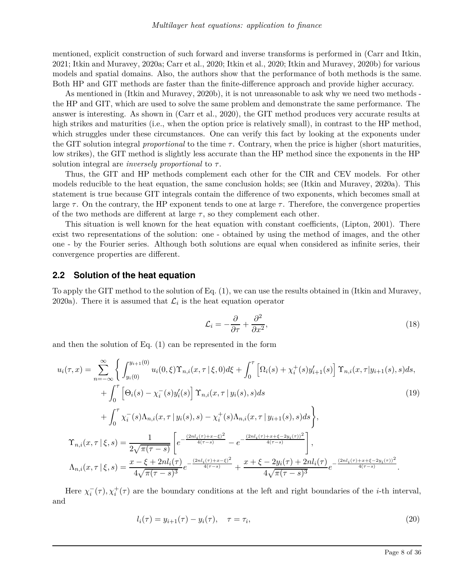mentioned, explicit construction of such forward and inverse transforms is performed in (Carr and Itkin, 2021; Itkin and Muravey, 2020a; Carr et al., 2020; Itkin et al., 2020; Itkin and Muravey, 2020b) for various models and spatial domains. Also, the authors show that the performance of both methods is the same. Both HP and GIT methods are faster than the finite-difference approach and provide higher accuracy.

As mentioned in (Itkin and Muravey, 2020b), it is not unreasonable to ask why we need two methods the HP and GIT, which are used to solve the same problem and demonstrate the same performance. The answer is interesting. As shown in (Carr et al., 2020), the GIT method produces very accurate results at high strikes and maturities (i.e., when the option price is relatively small), in contrast to the HP method, which struggles under these circumstances. One can verify this fact by looking at the exponents under the GIT solution integral *proportional* to the time  $\tau$ . Contrary, when the price is higher (short maturities, low strikes), the GIT method is slightly less accurate than the HP method since the exponents in the HP solution integral are *inversely proportional* to *τ* .

Thus, the GIT and HP methods complement each other for the CIR and CEV models. For other models reducible to the heat equation, the same conclusion holds; see (Itkin and Muravey, 2020a). This statement is true because GIT integrals contain the difference of two exponents, which becomes small at large  $\tau$ . On the contrary, the HP exponent tends to one at large  $\tau$ . Therefore, the convergence properties of the two methods are different at large  $\tau$ , so they complement each other.

This situation is well known for the heat equation with constant coefficients, (Lipton, 2001). There exist two representations of the solution: one - obtained by using the method of images, and the other one - by the Fourier series. Although both solutions are equal when considered as infinite series, their convergence properties are different.

#### **2.2 Solution of the heat equation**

To apply the GIT method to the solution of Eq. (1), we can use the results obtained in (Itkin and Muravey, 2020a). There it is assumed that  $\mathcal{L}_i$  is the heat equation operator

$$
\mathcal{L}_i = -\frac{\partial}{\partial \tau} + \frac{\partial^2}{\partial x^2},\tag{18}
$$

and then the solution of Eq. (1) can be represented in the form

$$
u_{i}(\tau,x) = \sum_{n=-\infty}^{\infty} \left\{ \int_{y_{i}(0)}^{y_{i+1}(0)} u_{i}(0,\xi) \Upsilon_{n,i}(x,\tau|\xi,0) d\xi + \int_{0}^{\tau} \left[ \Omega_{i}(s) + \chi_{i}^{+}(s) y'_{i+1}(s) \right] \Upsilon_{n,i}(x,\tau|y_{i+1}(s),s) ds \right. \right. \tag{19}
$$

$$
+ \int_{0}^{\tau} \left[ \Theta_{i}(s) - \chi_{i}^{-}(s) y'_{i}(s) \right] \Upsilon_{n,i}(x,\tau|y_{i}(s),s) ds \qquad (19)
$$

$$
+ \int_{0}^{\tau} \chi_{i}^{-}(s) \Lambda_{n,i}(x,\tau|y_{i}(s),s) - \chi_{i}^{+}(s) \Lambda_{n,i}(x,\tau|y_{i+1}(s),s) ds \right\},
$$

$$
\Upsilon_{n,i}(x,\tau|\xi,s) = \frac{1}{2\sqrt{\pi(\tau-s)}} \left[ e^{-\frac{(2nl_{i}(\tau)+x-\xi)^{2}}{4(\tau-s)}} - e^{-\frac{(2nl_{i}(\tau)+x+\xi-2y_{i}(\tau))^{2}}{4(\tau-s)}} \right],
$$

$$
\Lambda_{n,i}(x,\tau|\xi,s) = \frac{x-\xi+2nl_{i}(\tau)}{4\sqrt{\pi(\tau-s)^{3}}} e^{-\frac{(2nl_{i}(\tau)+x-\xi)^{2}}{4(\tau-s)^{3}}} + \frac{x+\xi-2y_{i}(\tau)+2nl_{i}(\tau)}{4\sqrt{\pi(\tau-s)^{3}}} e^{-\frac{(2nl_{i}(\tau)+x+\xi-2y_{i}(\tau))^{2}}{4(\tau-s)}}.
$$

Here  $\chi_i^-(\tau), \chi_i^+(\tau)$  are the boundary conditions at the left and right boundaries of the *i*-th interval, and

$$
l_i(\tau) = y_{i+1}(\tau) - y_i(\tau), \quad \tau = \tau_i,
$$
\n
$$
(20)
$$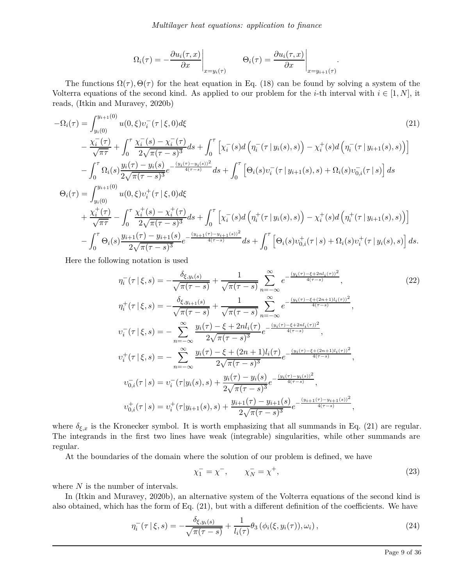$$
\Omega_i(\tau) = -\frac{\partial u_i(\tau, x)}{\partial x}\Big|_{x=y_i(\tau)} \qquad \Theta_i(\tau) = \frac{\partial u_i(\tau, x)}{\partial x}\Big|_{x=y_{i+1}(\tau)}.
$$

The functions  $\Omega(\tau)$ ,  $\Theta(\tau)$  for the heat equation in Eq. (18) can be found by solving a system of the Volterra equations of the second kind. As applied to our problem for the *i*-th interval with  $i \in [1, N]$ , it reads, (Itkin and Muravey, 2020b)

$$
-\Omega_{i}(\tau) = \int_{y_{i}(0)}^{y_{i+1}(0)} u(0,\xi)v_{i}^{-}(\tau|\xi,0)d\xi
$$
\n
$$
-\frac{\chi_{i}^{-}(\tau)}{\sqrt{\pi\tau}} + \int_{0}^{\tau} \frac{\chi_{i}^{-}(s) - \chi_{i}^{-}(\tau)}{2\sqrt{\pi(\tau-s)^{3}}} ds + \int_{0}^{\tau} \left[ \chi_{i}^{-}(s) d\left(\eta_{i}^{-}(\tau|y_{i}(s),s)\right) - \chi_{i}^{+}(s) d\left(\eta_{i}^{-}(\tau|y_{i+1}(s),s)\right) \right]
$$
\n
$$
-\int_{0}^{\tau} \Omega_{i}(s) \frac{y_{i}(\tau) - y_{i}(s)}{2\sqrt{\pi(\tau-s)^{3}}} e^{-\frac{(y_{i}(\tau) - y_{i}(s))^{2}}{4(\tau-s)}} ds + \int_{0}^{\tau} \left[\Theta_{i}(s)v_{i}^{-}(\tau|y_{i+1}(s),s) + \Omega_{i}(s)v_{0,i}^{-}(\tau|s)\right] ds
$$
\n
$$
\Theta_{i}(\tau) = \int_{y_{i}(0)}^{y_{i+1}(0)} u(0,\xi)v_{i}^{+}(\tau|\xi,0)d\xi
$$
\n
$$
+\frac{\chi_{i}^{+}(\tau)}{\sqrt{\pi\tau}} - \int_{0}^{\tau} \frac{\chi_{i}^{+}(s) - \chi_{i}^{+}(\tau)}{2\sqrt{\pi(\tau-s)^{3}}} ds + \int_{0}^{\tau} \left[ \chi_{i}^{-}(s) d\left(\eta_{i}^{+}(\tau|y_{i}(s),s)\right) - \chi_{i}^{+}(s) d\left(\eta_{i}^{+}(\tau|y_{i+1}(s),s)\right) \right]
$$
\n
$$
-\int_{0}^{\tau} \Theta_{i}(s) \frac{y_{i+1}(\tau) - y_{i+1}(s)}{2\sqrt{\pi(\tau-s)^{3}}} e^{-\frac{(y_{i+1}(\tau) - y_{i+1}(s))^{2}}{4(\tau-s)}} ds + \int_{0}^{\tau} \left[\Theta_{i}(s)v_{0,i}^{+}(\tau|s) + \Omega_{i}(s)v_{i}^{+}(\tau|y_{i}(s),s)\right] ds.
$$
\n(21)

Here the following notation is used

$$
\eta_{i}^{-}(\tau | \xi, s) = -\frac{\delta_{\xi, y_{i}(s)}}{\sqrt{\pi(\tau - s)}} + \frac{1}{\sqrt{\pi(\tau - s)}} \sum_{n=-\infty}^{\infty} e^{-\frac{(y_{i}(\tau) - \xi + 2nl_{i}(\tau))^{2}}{4(\tau - s)}}, \qquad (22)
$$
\n
$$
\eta_{i}^{+}(\tau | \xi, s) = -\frac{\delta_{\xi, y_{i+1}(s)}}{\sqrt{\pi(\tau - s)}} + \frac{1}{\sqrt{\pi(\tau - s)}} \sum_{n=-\infty}^{\infty} e^{-\frac{(y_{i}(\tau) - \xi + (2n+1)l_{i}(\tau))^{2}}{4(\tau - s)}},
$$
\n
$$
\upsilon_{i}^{-}(\tau | \xi, s) = -\sum_{n=-\infty}^{\infty} \frac{y_{i}(\tau) - \xi + 2nl_{i}(\tau)}{2\sqrt{\pi(\tau - s)^{3}}} e^{-\frac{(y_{i}(\tau) - \xi + 2nl_{i}(\tau))^{2}}{4(\tau - s)}},
$$
\n
$$
\upsilon_{i}^{+}(\tau | \xi, s) = -\sum_{n=-\infty}^{\infty} \frac{y_{i}(\tau) - \xi + (2n+1)l_{i}(\tau)}{2\sqrt{\pi(\tau - s)^{3}}} e^{-\frac{(y_{i}(\tau) - \xi + (2n+1)l_{i}(\tau))^{2}}{4(\tau - s)}},
$$
\n
$$
\upsilon_{0,i}^{-}(\tau | s) = \upsilon_{i}^{-}(\tau | y_{i}(s), s) + \frac{y_{i}(\tau) - y_{i}(s)}{2\sqrt{\pi(\tau - s)^{3}}} e^{-\frac{(y_{i}(\tau) - y_{i}(s))^{2}}{4(\tau - s)}},
$$
\n
$$
\upsilon_{0,i}^{+}(\tau | s) = \upsilon_{i}^{+}(\tau | y_{i+1}(s), s) + \frac{y_{i+1}(\tau) - y_{i+1}(s)}{2\sqrt{\pi(\tau - s)^{3}}} e^{-\frac{(y_{i+1}(\tau) - y_{i+1}(s))^{2}}{4(\tau - s)}},
$$

where  $\delta_{\xi,x}$  is the Kronecker symbol. It is worth emphasizing that all summands in Eq. (21) are regular. The integrands in the first two lines have weak (integrable) singularities, while other summands are regular.

At the boundaries of the domain where the solution of our problem is defined, we have

$$
\chi_1^- = \chi^-, \qquad \chi_N^- = \chi^+, \tag{23}
$$

where *N* is the number of intervals.

In (Itkin and Muravey, 2020b), an alternative system of the Volterra equations of the second kind is also obtained, which has the form of Eq. (21), but with a different definition of the coefficients. We have

$$
\eta_i^-(\tau \mid \xi, s) = -\frac{\delta_{\xi, y_i(s)}}{\sqrt{\pi(\tau - s)}} + \frac{1}{l_i(\tau)} \theta_3 \left( \phi_i(\xi, y_i(\tau)), \omega_i \right), \tag{24}
$$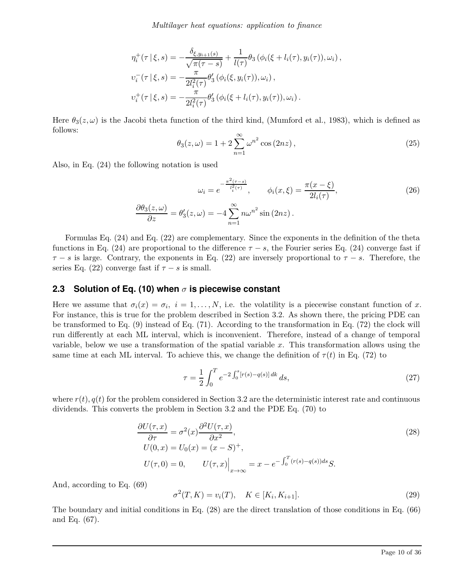$$
\eta_i^+(\tau | \xi, s) = -\frac{\delta_{\xi, y_{i+1}(s)}}{\sqrt{\pi(\tau - s)}} + \frac{1}{l(\tau)} \theta_3 (\phi_i(\xi + l_i(\tau), y_i(\tau)), \omega_i),
$$
  

$$
\upsilon_i^-(\tau | \xi, s) = -\frac{\pi}{2l_i^2(\tau)} \theta_3' (\phi_i(\xi, y_i(\tau)), \omega_i),
$$
  

$$
\upsilon_i^+(\tau | \xi, s) = -\frac{\pi}{2l_i^2(\tau)} \theta_3' (\phi_i(\xi + l_i(\tau), y_i(\tau)), \omega_i).
$$

Here  $\theta_3(z,\omega)$  is the Jacobi theta function of the third kind, (Mumford et al., 1983), which is defined as follows:

$$
\theta_3(z,\omega) = 1 + 2\sum_{n=1}^{\infty} \omega^{n^2} \cos(2nz), \qquad (25)
$$

Also, in Eq. (24) the following notation is used

$$
\omega_i = e^{-\frac{\pi^2(\tau - s)}{l_i^2(\tau)}}, \qquad \phi_i(x, \xi) = \frac{\pi(x - \xi)}{2l_i(\tau)},
$$
  

$$
\frac{\partial \theta_3(z, \omega)}{\partial z} = \theta'_3(z, \omega) = -4 \sum_{n=1}^{\infty} n\omega^{n^2} \sin(2nz).
$$
 (26)

Formulas Eq. (24) and Eq. (22) are complementary. Since the exponents in the definition of the theta functions in Eq. (24) are proportional to the difference  $\tau - s$ , the Fourier series Eq. (24) converge fast if  $\tau - s$  is large. Contrary, the exponents in Eq. (22) are inversely proportional to  $\tau - s$ . Therefore, the series Eq. (22) converge fast if  $\tau - s$  is small.

### **2.3 Solution of Eq. (10) when** *σ* **is piecewise constant**

Here we assume that  $\sigma_i(x) = \sigma_i$ ,  $i = 1, \ldots, N$ , i.e. the volatility is a piecewise constant function of *x*. For instance, this is true for the problem described in Section 3.2. As shown there, the pricing PDE can be transformed to Eq. (9) instead of Eq. (71). According to the transformation in Eq. (72) the clock will run differently at each ML interval, which is inconvenient. Therefore, instead of a change of temporal variable, below we use a transformation of the spatial variable *x*. This transformation allows using the same time at each ML interval. To achieve this, we change the definition of  $\tau(t)$  in Eq. (72) to

$$
\tau = \frac{1}{2} \int_0^T e^{-2 \int_0^s [r(s) - q(s)] \, dk} \, ds,\tag{27}
$$

where  $r(t)$ ,  $q(t)$  for the problem considered in Section 3.2 are the deterministic interest rate and continuous dividends. This converts the problem in Section 3.2 and the PDE Eq. (70) to

$$
\frac{\partial U(\tau, x)}{\partial \tau} = \sigma^2(x) \frac{\partial^2 U(\tau, x)}{\partial x^2},
$$
  
\n
$$
U(0, x) = U_0(x) = (x - S)^+,
$$
  
\n
$$
U(\tau, 0) = 0, \qquad U(\tau, x)\Big|_{x \to \infty} = x - e^{-\int_0^T (r(s) - q(s))ds} S.
$$
\n(28)

And, according to Eq. (69)

$$
\sigma^{2}(T, K) = v_{i}(T), \quad K \in [K_{i}, K_{i+1}].
$$
\n(29)

The boundary and initial conditions in Eq. (28) are the direct translation of those conditions in Eq. (66) and Eq. (67).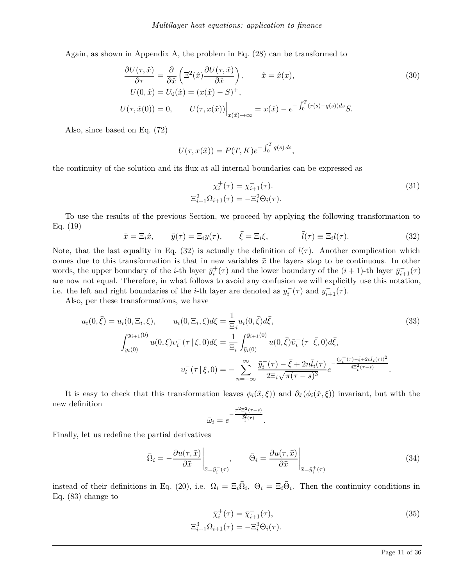Again, as shown in Appendix A, the problem in Eq. (28) can be transformed to

$$
\frac{\partial U(\tau,\hat{x})}{\partial \tau} = \frac{\partial}{\partial \hat{x}} \left( \Xi^2(\hat{x}) \frac{\partial U(\tau,\hat{x})}{\partial \hat{x}} \right), \qquad \hat{x} = \hat{x}(x),
$$
\n
$$
U(0,\hat{x}) = U_0(\hat{x}) = (x(\hat{x}) - S)^+,
$$
\n
$$
U(\tau,\hat{x}(0)) = 0, \qquad U(\tau,x(\hat{x})) \Big|_{x(\hat{x}) \to \infty} = x(\hat{x}) - e^{-\int_0^T (r(s) - q(s))ds} S.
$$
\n(30)

Also, since based on Eq. (72)

$$
U(\tau, x(\hat{x})) = P(T, K)e^{-\int_0^T q(s) ds},
$$

the continuity of the solution and its flux at all internal boundaries can be expressed as

$$
\chi_i^+(\tau) = \chi_{i+1}^-(\tau). \tag{31}
$$

$$
\Xi_{i+1}^2 \Omega_{i+1}(\tau) = -\Xi_i^2 \Theta_i(\tau).
$$

To use the results of the previous Section, we proceed by applying the following transformation to Eq. (19)

$$
\bar{x} = \Xi_i \hat{x}, \qquad \bar{y}(\tau) = \Xi_i y(\tau), \qquad \bar{\xi} = \Xi_i \xi, \qquad \bar{l}(\tau) \equiv \Xi_i l(\tau). \tag{32}
$$

Note, that the last equality in Eq. (32) is actually the definition of  $l(\tau)$ . Another complication which comes due to this transformation is that in new variables  $\bar{x}$  the layers stop to be continuous. In other words, the upper boundary of the *i*-th layer  $\bar{y}_i^+(\tau)$  and the lower boundary of the  $(i + 1)$ -th layer  $\bar{y}_{i+1}^-(\tau)$ are now not equal. Therefore, in what follows to avoid any confusion we will explicitly use this notation, i.e. the left and right boundaries of the *i*-th layer are denoted as  $y_i^-(\tau)$  and  $y_{i+1}^-(\tau)$ .

Also, per these transformations, we have

$$
u_i(0,\bar{\xi}) = u_i(0,\Xi_i,\xi), \qquad u_i(0,\Xi_i,\xi)d\xi = \frac{1}{\Xi_i}u_i(0,\bar{\xi})d\bar{\xi},
$$
(33)  

$$
\int_{y_i(0)}^{y_{i+1}(0)} u(0,\xi)v_i^-(\tau|\xi,0)d\xi = \frac{1}{\Xi_i} \int_{\bar{y}_i(0)}^{\bar{y}_{i+1}(0)} u(0,\bar{\xi})\bar{v}_i^-(\tau|\bar{\xi},0)d\bar{\xi},
$$

$$
\bar{v}_i^-(\tau|\bar{\xi},0) = -\sum_{n=-\infty}^{\infty} \frac{\bar{y}_i^-(\tau)-\bar{\xi}+2n\bar{l}_i(\tau)}{2\Xi_i\sqrt{\pi(\tau-s)^3}}e^{-\frac{(\bar{y}_i^-(\tau)-\bar{\xi}+2n\bar{l}_i(\tau))^2}{4\Xi_i^2(\tau-s)}}.
$$
(33)

It is easy to check that this transformation leaves  $\phi_i(\hat{x}, \xi)$  and  $\partial_{\hat{x}}(\phi_i(\hat{x}, \xi))$  invariant, but with the new definition

$$
\bar{\omega}_i = e^{-\frac{\pi^2 \Xi_i^2 (\tau - s)}{\bar{l}_i^2 (\tau)}}
$$

Finally, let us redefine the partial derivatives

$$
\bar{\Omega}_i = -\frac{\partial u(\tau, \bar{x})}{\partial \bar{x}} \bigg|_{\bar{x} = \bar{y}_i^-(\tau)}, \qquad \bar{\Theta}_i = \frac{\partial u(\tau, \bar{x})}{\partial \bar{x}} \bigg|_{\bar{x} = \bar{y}_i^+(\tau)}
$$
\n(34)

*.*

instead of their definitions in Eq. (20), i.e.  $\Omega_i = \Xi_i \overline{\Omega}_i$ ,  $\Theta_i = \Xi_i \overline{\Theta}_i$ . Then the continuity conditions in Eq. (83) change to

$$
\bar{\chi}_i^+(\tau) = \bar{\chi}_{i+1}^-(\tau),
$$
\n
$$
\Xi_{i+1}^3 \bar{\Omega}_{i+1}(\tau) = -\Xi_i^3 \bar{\Theta}_i(\tau).
$$
\n(35)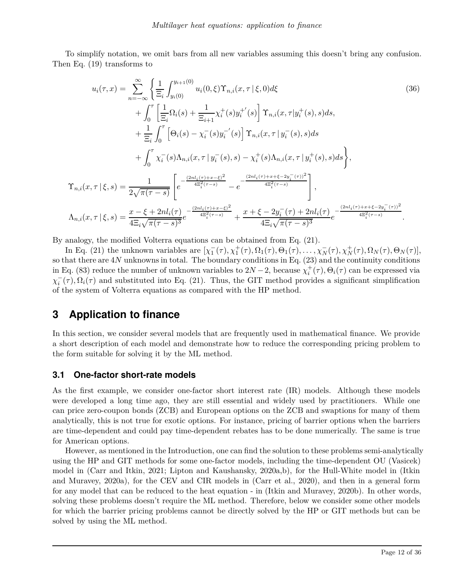To simplify notation, we omit bars from all new variables assuming this doesn't bring any confusion. Then Eq. (19) transforms to

$$
u_{i}(\tau,x) = \sum_{n=-\infty}^{\infty} \left\{ \frac{1}{\Xi_{i}} \int_{y_{i}(0)}^{y_{i+1}(0)} u_{i}(0,\xi) \Upsilon_{n,i}(x,\tau | \xi,0) d\xi \right\}
$$
(36)  
 
$$
+ \int_{0}^{\tau} \left[ \frac{1}{\Xi_{i}} \Omega_{i}(s) + \frac{1}{\Xi_{i+1}} \chi_{i}^{+}(s) y_{i}^{+'}(s) \right] \Upsilon_{n,i}(x,\tau | y_{i}^{+}(s),s) ds,
$$
  
 
$$
+ \frac{1}{\Xi_{i}} \int_{0}^{\tau} \left[ \Theta_{i}(s) - \chi_{i}^{-}(s) y_{i}^{-'}(s) \right] \Upsilon_{n,i}(x,\tau | y_{i}^{-}(s),s) ds
$$
  
 
$$
+ \int_{0}^{\tau} \chi_{i}^{-}(s) \Lambda_{n,i}(x,\tau | y_{i}^{-}(s),s) - \chi_{i}^{+}(s) \Lambda_{n,i}(x,\tau | y_{i}^{+}(s),s) ds \right\},
$$
  

$$
\Upsilon_{n,i}(x,\tau | \xi,s) = \frac{1}{2\sqrt{\pi(\tau-s)}} \left[ e^{-\frac{(2nl_{i}(\tau) + x - \xi)^{2}}{4\Xi_{i}^{2}(\tau-s)}} - e^{-\frac{(2nl_{i}(\tau) + x + \xi - 2y_{i}^{-}(\tau))^{2}}{4\Xi_{i}^{2}(\tau-s)}} \right],
$$
  

$$
\Lambda_{n,i}(x,\tau | \xi,s) = \frac{x - \xi + 2nl_{i}(\tau)}{4\Xi_{i}\sqrt{\pi(\tau-s)^{3}}} e^{-\frac{(2nl_{i}(\tau) + x - \xi)^{2}}{4\Xi_{i}\sqrt{\pi(\tau-s)^{3}}} + \frac{x + \xi - 2y_{i}^{-}(\tau) + 2nl_{i}(\tau)}{4\Xi_{i}\sqrt{\pi(\tau-s)^{3}}} e^{-\frac{(2nl_{i}(\tau) + x + \xi - 2y_{i}^{-}(\tau))^{2}}{4\Xi_{i}^{2}(\tau-s)}}.
$$

By analogy, the modified Volterra equations can be obtained from Eq. (21).

In Eq. (21) the unknown variables are  $[\chi_1^-(\tau), \chi_1^+(\tau), \Omega_1(\tau), \Theta_1(\tau), \ldots, \chi_N^-(\tau), \chi_N^+(\tau), \Omega_N(\tau), \Theta_N(\tau)],$ so that there are 4*N* unknowns in total. The boundary conditions in Eq. (23) and the continuity conditions in Eq. (83) reduce the number of unknown variables to  $2N-2$ , because  $\chi_i^+(\tau)$ ,  $\Theta_i(\tau)$  can be expressed via  $\chi_i^-(\tau), \Omega_i(\tau)$  and substituted into Eq. (21). Thus, the GIT method provides a significant simplification of the system of Volterra equations as compared with the HP method.

# **3 Application to finance**

In this section, we consider several models that are frequently used in mathematical finance. We provide a short description of each model and demonstrate how to reduce the corresponding pricing problem to the form suitable for solving it by the ML method.

### **3.1 One-factor short-rate models**

As the first example, we consider one-factor short interest rate (IR) models. Although these models were developed a long time ago, they are still essential and widely used by practitioners. While one can price zero-coupon bonds (ZCB) and European options on the ZCB and swaptions for many of them analytically, this is not true for exotic options. For instance, pricing of barrier options when the barriers are time-dependent and could pay time-dependent rebates has to be done numerically. The same is true for American options.

However, as mentioned in the Introduction, one can find the solution to these problems semi-analytically using the HP and GIT methods for some one-factor models, including the time-dependent OU (Vasicek) model in (Carr and Itkin, 2021; Lipton and Kaushansky, 2020a,b), for the Hull-White model in (Itkin and Muravey, 2020a), for the CEV and CIR models in (Carr et al., 2020), and then in a general form for any model that can be reduced to the heat equation - in (Itkin and Muravey, 2020b). In other words, solving these problems doesn't require the ML method. Therefore, below we consider some other models for which the barrier pricing problems cannot be directly solved by the HP or GIT methods but can be solved by using the ML method.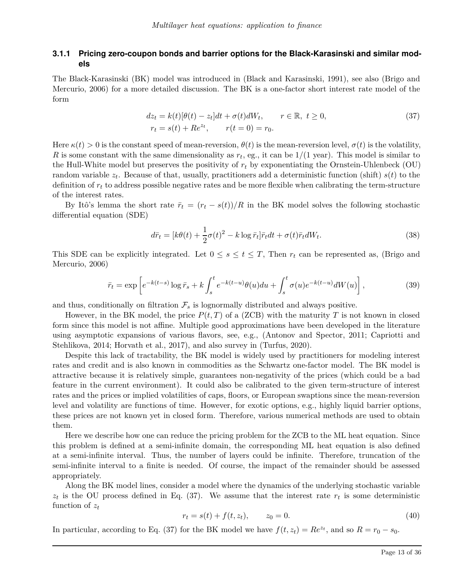#### **3.1.1 Pricing zero-coupon bonds and barrier options for the Black-Karasinski and similar models**

The Black-Karasinski (BK) model was introduced in (Black and Karasinski, 1991), see also (Brigo and Mercurio, 2006) for a more detailed discussion. The BK is a one-factor short interest rate model of the form

$$
dz_t = k(t)[\theta(t) - z_t]dt + \sigma(t)dW_t, \qquad r \in \mathbb{R}, t \ge 0,
$$
  
\n
$$
r_t = s(t) + Re^{zt}, \qquad r(t = 0) = r_0.
$$
\n(37)

Here  $\kappa(t) > 0$  is the constant speed of mean-reversion,  $\theta(t)$  is the mean-reversion level,  $\sigma(t)$  is the volatility, *R* is some constant with the same dimensionality as  $r_t$ , eg., it can be  $1/(1 \text{ year})$ . This model is similar to the Hull-White model but preserves the positivity of *r<sup>t</sup>* by exponentiating the Ornstein-Uhlenbeck (OU) random variable *z<sup>t</sup>* . Because of that, usually, practitioners add a deterministic function (shift) *s*(*t*) to the definition of *r<sup>t</sup>* to address possible negative rates and be more flexible when calibrating the term-structure of the interest rates.

By Itô's lemma the short rate  $\bar{r}_t = (r_t - s(t))/R$  in the BK model solves the following stochastic differential equation (SDE)

$$
d\bar{r}_t = [k\theta(t) + \frac{1}{2}\sigma(t)^2 - k\log \bar{r}_t]\bar{r}_t dt + \sigma(t)\bar{r}_t dW_t.
$$
\n(38)

This SDE can be explicitly integrated. Let  $0 \leq s \leq t \leq T$ , Then  $r_t$  can be represented as, (Brigo and Mercurio, 2006)

$$
\bar{r}_t = \exp\left[e^{-k(t-s)}\log\bar{r}_s + k\int_s^t e^{-k(t-u)}\theta(u)du + \int_s^t \sigma(u)e^{-k(t-u)}dW(u)\right],\tag{39}
$$

and thus, conditionally on filtration  $\mathcal{F}_s$  is lognormally distributed and always positive.

However, in the BK model, the price  $P(t, T)$  of a (ZCB) with the maturity T is not known in closed form since this model is not affine. Multiple good approximations have been developed in the literature using asymptotic expansions of various flavors, see, e.g., (Antonov and Spector, 2011; Capriotti and Stehlikova, 2014; Horvath et al., 2017), and also survey in (Turfus, 2020).

Despite this lack of tractability, the BK model is widely used by practitioners for modeling interest rates and credit and is also known in commodities as the Schwartz one-factor model. The BK model is attractive because it is relatively simple, guarantees non-negativity of the prices (which could be a bad feature in the current environment). It could also be calibrated to the given term-structure of interest rates and the prices or implied volatilities of caps, floors, or European swaptions since the mean-reversion level and volatility are functions of time. However, for exotic options, e.g., highly liquid barrier options, these prices are not known yet in closed form. Therefore, various numerical methods are used to obtain them.

Here we describe how one can reduce the pricing problem for the ZCB to the ML heat equation. Since this problem is defined at a semi-infinite domain, the corresponding ML heat equation is also defined at a semi-infinite interval. Thus, the number of layers could be infinite. Therefore, truncation of the semi-infinite interval to a finite is needed. Of course, the impact of the remainder should be assessed appropriately.

Along the BK model lines, consider a model where the dynamics of the underlying stochastic variable  $z_t$  is the OU process defined in Eq. (37). We assume that the interest rate  $r_t$  is some deterministic function of *z<sup>t</sup>*

$$
r_t = s(t) + f(t, z_t), \t z_0 = 0.
$$
\t(40)

In particular, according to Eq. (37) for the BK model we have  $f(t, z_t) = Re^{z_t}$ , and so  $R = r_0 - s_0$ .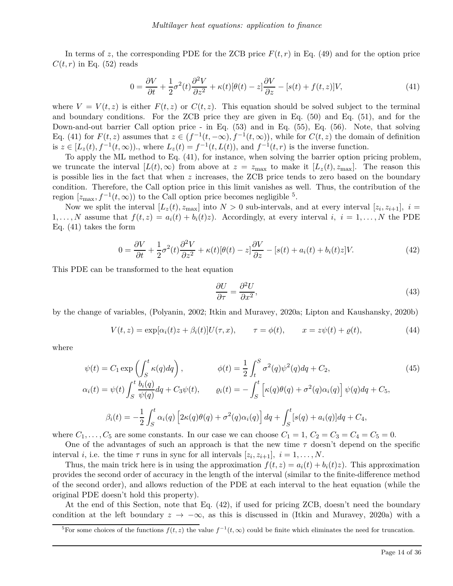In terms of  $z$ , the corresponding PDE for the ZCB price  $F(t, r)$  in Eq. (49) and for the option price  $C(t, r)$  in Eq. (52) reads

$$
0 = \frac{\partial V}{\partial t} + \frac{1}{2}\sigma^2(t)\frac{\partial^2 V}{\partial z^2} + \kappa(t)[\theta(t) - z]\frac{\partial V}{\partial z} - [s(t) + f(t, z)]V,\tag{41}
$$

where  $V = V(t, z)$  is either  $F(t, z)$  or  $C(t, z)$ . This equation should be solved subject to the terminal and boundary conditions. For the ZCB price they are given in Eq. (50) and Eq. (51), and for the Down-and-out barrier Call option price - in Eq. (53) and in Eq. (55), Eq. (56). Note, that solving Eq. (41) for  $F(t, z)$  assumes that  $z \in (f^{-1}(t, -\infty), f^{-1}(t, \infty))$ , while for  $C(t, z)$  the domain of definition is  $z \in [L_z(t), f^{-1}(t, \infty))$ , where  $L_z(t) = f^{-1}(t, L(t))$ , and  $f^{-1}(t, r)$  is the inverse function.

To apply the ML method to Eq. (41), for instance, when solving the barrier option pricing problem, we truncate the interval  $[L(t), \infty)$  from above at  $z = z_{\text{max}}$  to make it  $[L_z(t), z_{\text{max}}]$ . The reason this is possible lies in the fact that when *z* increases, the ZCB price tends to zero based on the boundary condition. Therefore, the Call option price in this limit vanishes as well. Thus, the contribution of the region  $[z_{\text{max}}, f^{-1}(t, \infty))$  to the Call option price becomes negligible <sup>5</sup>.

Now we split the interval  $[L_z(t), z_{\text{max}}]$  into  $N > 0$  sub-intervals, and at every interval  $[z_i, z_{i+1}]$ ,  $i =$ 1,..., N assume that  $f(t, z) = a_i(t) + b_i(t)z$ . Accordingly, at every interval *i*,  $i = 1, \ldots, N$  the PDE Eq. (41) takes the form

$$
0 = \frac{\partial V}{\partial t} + \frac{1}{2}\sigma^2(t)\frac{\partial^2 V}{\partial z^2} + \kappa(t)[\theta(t) - z]\frac{\partial V}{\partial z} - [s(t) + a_i(t) + b_i(t)z]V.
$$
 (42)

This PDE can be transformed to the heat equation

$$
\frac{\partial U}{\partial \tau} = \frac{\partial^2 U}{\partial x^2},\tag{43}
$$

by the change of variables, (Polyanin, 2002; Itkin and Muravey, 2020a; Lipton and Kaushansky, 2020b)

$$
V(t,z) = \exp[\alpha_i(t)z + \beta_i(t)]U(\tau, x), \qquad \tau = \phi(t), \qquad x = z\psi(t) + \varrho(t), \tag{44}
$$

where

$$
\psi(t) = C_1 \exp\left(\int_S^t \kappa(q) dq\right), \qquad \phi(t) = \frac{1}{2} \int_t^S \sigma^2(q) \psi^2(q) dq + C_2,
$$
\n
$$
\alpha_i(t) = \psi(t) \int_S^t \frac{b_i(q)}{\psi(q)} dq + C_3 \psi(t), \qquad \varrho_i(t) = -\int_S^t \left[\kappa(q) \theta(q) + \sigma^2(q) \alpha_i(q)\right] \psi(q) dq + C_5,
$$
\n
$$
\beta_i(t) = -\frac{1}{2} \int_S^t \alpha_i(q) \left[2\kappa(q) \theta(q) + \sigma^2(q) \alpha_i(q)\right] dq + \int_S^t [s(q) + \alpha_i(q)] dq + C_4,
$$

where  $C_1, \ldots, C_5$  are some constants. In our case we can choose  $C_1 = 1, C_2 = C_3 = C_4 = C_5 = 0$ .

One of the advantages of such an approach is that the new time  $\tau$  doesn't depend on the specific interval *i*, i.e. the time  $\tau$  runs in sync for all intervals  $[z_i, z_{i+1}], i = 1, \ldots, N$ .

Thus, the main trick here is in using the approximation  $f(t, z) = a_i(t) + b_i(t)z$ . This approximation provides the second order of accuracy in the length of the interval (similar to the finite-difference method of the second order), and allows reduction of the PDE at each interval to the heat equation (while the original PDE doesn't hold this property).

At the end of this Section, note that Eq. (42), if used for pricing ZCB, doesn't need the boundary condition at the left boundary  $z \to -\infty$ , as this is discussed in (Itkin and Muravey, 2020a) with a

<sup>&</sup>lt;sup>5</sup>For some choices of the functions  $f(t, z)$  the value  $f^{-1}(t, \infty)$  could be finite which eliminates the need for truncation.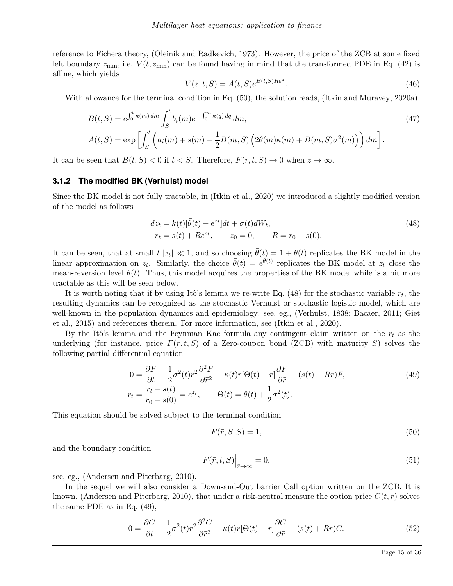reference to Fichera theory, (Oleinik and Radkevich, 1973). However, the price of the ZCB at some fixed left boundary  $z_{\text{min}}$ , i.e.  $V(t, z_{\text{min}})$  can be found having in mind that the transformed PDE in Eq. (42) is affine, which yields

$$
V(z, t, S) = A(t, S)e^{B(t, S)Re^{z}}.
$$
\n(46)

With allowance for the terminal condition in Eq. (50), the solution reads, (Itkin and Muravey, 2020a)

$$
B(t, S) = e^{\int_0^t \kappa(m) dm} \int_S^t b_i(m) e^{-\int_0^m \kappa(q) dq} dm,
$$
  
\n
$$
A(t, S) = \exp \left[ \int_S^t \left( a_i(m) + s(m) - \frac{1}{2} B(m, S) \left( 2\theta(m) \kappa(m) + B(m, S) \sigma^2(m) \right) \right) dm \right].
$$
\n(47)

It can be seen that  $B(t, S) < 0$  if  $t < S$ . Therefore,  $F(r, t, S) \to 0$  when  $z \to \infty$ .

#### **3.1.2 The modified BK (Verhulst) model**

Since the BK model is not fully tractable, in (Itkin et al., 2020) we introduced a slightly modified version of the model as follows

$$
dz_t = k(t)[\bar{\theta}(t) - e^{zt}]dt + \sigma(t)dW_t,
$$
  
\n
$$
r_t = s(t) + Re^{zt}, \qquad z_0 = 0, \qquad R = r_0 - s(0).
$$
\n(48)

It can be seen, that at small  $t |z_t| \ll 1$ , and so choosing  $\bar{\theta}(t) = 1 + \theta(t)$  replicates the BK model in the linear approximation on  $z_t$ . Similarly, the choice  $\bar{\theta}(t) = e^{\theta(t)}$  replicates the BK model at  $z_t$  close the mean-reversion level  $\theta(t)$ . Thus, this model acquires the properties of the BK model while is a bit more tractable as this will be seen below.

It is worth noting that if by using Itô's lemma we re-write Eq.  $(48)$  for the stochastic variable  $r_t$ , the resulting dynamics can be recognized as the stochastic Verhulst or stochastic logistic model, which are well-known in the population dynamics and epidemiology; see, eg., (Verhulst, 1838; Bacaer, 2011; Giet et al., 2015) and references therein. For more information, see (Itkin et al., 2020).

By the Itô's lemma and the Feynman–Kac formula any contingent claim written on the *r<sup>t</sup>* as the underlying (for instance, price  $F(\bar{r}, t, S)$  of a Zero-coupon bond (ZCB) with maturity *S*) solves the following partial differential equation

$$
0 = \frac{\partial F}{\partial t} + \frac{1}{2}\sigma^2(t)\bar{r}^2\frac{\partial^2 F}{\partial \bar{r}^2} + \kappa(t)\bar{r}[\Theta(t) - \bar{r}]\frac{\partial F}{\partial \bar{r}} - (s(t) + R\bar{r})F,
$$
  
\n
$$
\bar{r}_t = \frac{r_t - s(t)}{r_0 - s(0)} = e^{zt}, \qquad \Theta(t) = \bar{\theta}(t) + \frac{1}{2}\sigma^2(t).
$$
\n(49)

This equation should be solved subject to the terminal condition

$$
F(\bar{r}, S, S) = 1,\tag{50}
$$

and the boundary condition

$$
F(\bar{r},t,S)\Big|_{\bar{r}\to\infty} = 0,\tag{51}
$$

see, eg., (Andersen and Piterbarg, 2010).

In the sequel we will also consider a Down-and-Out barrier Call option written on the ZCB. It is known, (Andersen and Piterbarg, 2010), that under a risk-neutral measure the option price  $C(t, \bar{r})$  solves the same PDE as in Eq. (49),

$$
0 = \frac{\partial C}{\partial t} + \frac{1}{2}\sigma^2(t)\bar{r}^2 \frac{\partial^2 C}{\partial \bar{r}^2} + \kappa(t)\bar{r}[\Theta(t) - \bar{r}]\frac{\partial C}{\partial \bar{r}} - (s(t) + R\bar{r})C.
$$
 (52)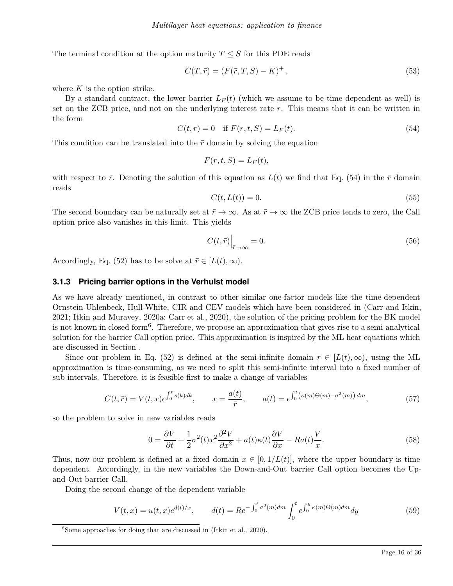The terminal condition at the option maturity  $T \leq S$  for this PDE reads

$$
C(T, \bar{r}) = (F(\bar{r}, T, S) - K)^{+},
$$
\n(53)

where *K* is the option strike.

By a standard contract, the lower barrier  $L_F(t)$  (which we assume to be time dependent as well) is set on the ZCB price, and not on the underlying interest rate  $\bar{r}$ . This means that it can be written in the form

$$
C(t,\bar{r}) = 0 \quad \text{if } F(\bar{r},t,S) = L_F(t). \tag{54}
$$

This condition can be translated into the  $\bar{r}$  domain by solving the equation

$$
F(\bar{r},t,S)=L_F(t),
$$

with respect to  $\bar{r}$ . Denoting the solution of this equation as  $L(t)$  we find that Eq. (54) in the  $\bar{r}$  domain reads

$$
C(t, L(t)) = 0.\t\t(55)
$$

The second boundary can be naturally set at  $\bar{r} \to \infty$ . As at  $\bar{r} \to \infty$  the ZCB price tends to zero, the Call option price also vanishes in this limit. This yields

$$
C(t,\bar{r})\Big|_{\bar{r}\to\infty} = 0.\tag{56}
$$

Accordingly, Eq. (52) has to be solve at  $\bar{r} \in [L(t), \infty)$ .

#### **3.1.3 Pricing barrier options in the Verhulst model**

As we have already mentioned, in contrast to other similar one-factor models like the time-dependent Ornstein-Uhlenbeck, Hull-White, CIR and CEV models which have been considered in (Carr and Itkin, 2021; Itkin and Muravey, 2020a; Carr et al., 2020), the solution of the pricing problem for the BK model is not known in closed form<sup>6</sup> . Therefore, we propose an approximation that gives rise to a semi-analytical solution for the barrier Call option price. This approximation is inspired by the ML heat equations which are discussed in Section .

Since our problem in Eq. (52) is defined at the semi-infinite domain  $\bar{r} \in [L(t), \infty)$ , using the ML approximation is time-consuming, as we need to split this semi-infinite interval into a fixed number of sub-intervals. Therefore, it is feasible first to make a change of variables

$$
C(t,\bar{r}) = V(t,x)e^{\int_0^t s(k)dk}, \qquad x = \frac{a(t)}{\bar{r}}, \qquad a(t) = e^{\int_0^t (\kappa(m)\Theta(m) - \sigma^2(m))dm}, \tag{57}
$$

so the problem to solve in new variables reads

$$
0 = \frac{\partial V}{\partial t} + \frac{1}{2}\sigma^2(t)x^2\frac{\partial^2 V}{\partial x^2} + a(t)\kappa(t)\frac{\partial V}{\partial x} - Ra(t)\frac{V}{x}.
$$
\n(58)

Thus, now our problem is defined at a fixed domain  $x \in [0, 1/L(t)]$ , where the upper boundary is time dependent. Accordingly, in the new variables the Down-and-Out barrier Call option becomes the Upand-Out barrier Call.

Doing the second change of the dependent variable

$$
V(t,x) = u(t,x)e^{d(t)/x}, \t d(t) = Re^{-\int_0^t \sigma^2(m)dm} \int_0^t e^{\int_0^y \kappa(m)\Theta(m)dm} dy
$$
\n(59)

 ${}^{6}$ Some approaches for doing that are discussed in (Itkin et al., 2020).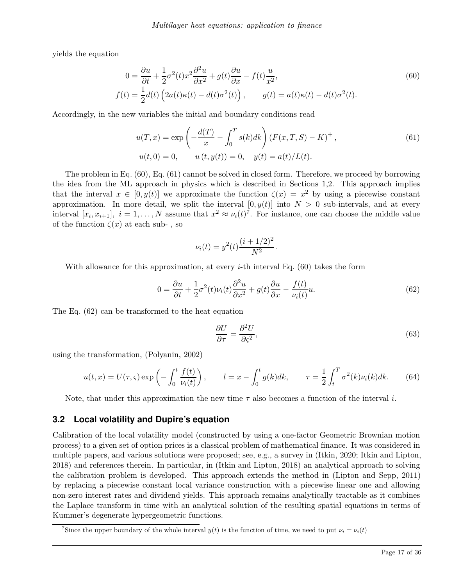yields the equation

$$
0 = \frac{\partial u}{\partial t} + \frac{1}{2}\sigma^2(t)x^2 \frac{\partial^2 u}{\partial x^2} + g(t)\frac{\partial u}{\partial x} - f(t)\frac{u}{x^2},
$$
  
\n
$$
f(t) = \frac{1}{2}d(t)\left(2a(t)\kappa(t) - d(t)\sigma^2(t)\right), \qquad g(t) = a(t)\kappa(t) - d(t)\sigma^2(t).
$$
\n(60)

Accordingly, in the new variables the initial and boundary conditions read

$$
u(T, x) = \exp\left(-\frac{d(T)}{x} - \int_0^T s(k)dk\right) (F(x, T, S) - K)^+,
$$
  
\n
$$
u(t, 0) = 0, \qquad u(t, y(t)) = 0, \quad y(t) = a(t)/L(t).
$$
\n(61)

The problem in Eq. (60), Eq. (61) cannot be solved in closed form. Therefore, we proceed by borrowing the idea from the ML approach in physics which is described in Sections 1,2. This approach implies that the interval  $x \in [0, y(t)]$  we approximate the function  $\zeta(x) = x^2$  by using a piecewise constant approximation. In more detail, we split the interval  $[0, y(t)]$  into  $N > 0$  sub-intervals, and at every interval  $[x_i, x_{i+1}]$ ,  $i = 1, ..., N$  assume that  $x^2 \approx \nu_i(t)^7$ . For instance, one can choose the middle value of the function  $\zeta(x)$  at each sub-, so

$$
\nu_i(t) = y^2(t) \frac{(i + 1/2)^2}{N^2}
$$

With allowance for this approximation, at every *i*-th interval Eq. (60) takes the form

$$
0 = \frac{\partial u}{\partial t} + \frac{1}{2}\sigma^2(t)\nu_i(t)\frac{\partial^2 u}{\partial x^2} + g(t)\frac{\partial u}{\partial x} - \frac{f(t)}{\nu_i(t)}u.
$$
\n(62)

*.*

The Eq. (62) can be transformed to the heat equation

$$
\frac{\partial U}{\partial \tau} = \frac{\partial^2 U}{\partial \varsigma^2},\tag{63}
$$

using the transformation, (Polyanin, 2002)

$$
u(t,x) = U(\tau,\varsigma) \exp\left(-\int_0^t \frac{f(t)}{\nu_i(t)}\right), \qquad l = x - \int_0^t g(k)dk, \qquad \tau = \frac{1}{2} \int_t^T \sigma^2(k)\nu_i(k)dk. \tag{64}
$$

Note, that under this approximation the new time *τ* also becomes a function of the interval *i*.

### **3.2 Local volatility and Dupire's equation**

Calibration of the local volatility model (constructed by using a one-factor Geometric Brownian motion process) to a given set of option prices is a classical problem of mathematical finance. It was considered in multiple papers, and various solutions were proposed; see, e.g., a survey in (Itkin, 2020; Itkin and Lipton, 2018) and references therein. In particular, in (Itkin and Lipton, 2018) an analytical approach to solving the calibration problem is developed. This approach extends the method in (Lipton and Sepp, 2011) by replacing a piecewise constant local variance construction with a piecewise linear one and allowing non-zero interest rates and dividend yields. This approach remains analytically tractable as it combines the Laplace transform in time with an analytical solution of the resulting spatial equations in terms of Kummer's degenerate hypergeometric functions.

The *s* is the upper boundary of the whole interval  $y(t)$  is the function of time, we need to put  $\nu_i = \nu_i(t)$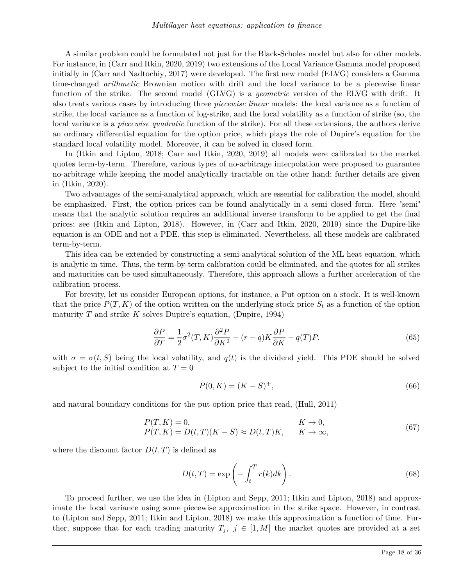A similar problem could be formulated not just for the Black-Scholes model but also for other models. For instance, in (Carr and Itkin, 2020, 2019) two extensions of the Local Variance Gamma model proposed initially in (Carr and Nadtochiy, 2017) were developed. The first new model (ELVG) considers a Gamma time-changed *arithmetic* Brownian motion with drift and the local variance to be a piecewise linear function of the strike. The second model (GLVG) is a *geometric* version of the ELVG with drift. It also treats various cases by introducing three *piecewise linear* models: the local variance as a function of strike, the local variance as a function of log-strike, and the local volatility as a function of strike (so, the local variance is a *piecewise quadratic* function of the strike). For all these extensions, the authors derive an ordinary differential equation for the option price, which plays the role of Dupire's equation for the standard local volatility model. Moreover, it can be solved in closed form.

In (Itkin and Lipton, 2018; Carr and Itkin, 2020, 2019) all models were calibrated to the market quotes term-by-term. Therefore, various types of no-arbitrage interpolation were proposed to guarantee no-arbitrage while keeping the model analytically tractable on the other hand; further details are given in (Itkin, 2020).

Two advantages of the semi-analytical approach, which are essential for calibration the model, should be emphasized. First, the option prices can be found analytically in a semi closed form. Here "semi" means that the analytic solution requires an additional inverse transform to be applied to get the final prices; see (Itkin and Lipton, 2018). However, in (Carr and Itkin, 2020, 2019) since the Dupire-like equation is an ODE and not a PDE, this step is eliminated. Nevertheless, all these models are calibrated term-by-term.

This idea can be extended by constructing a semi-analytical solution of the ML heat equation, which is analytic in time. Thus, the term-by-term calibration could be eliminated, and the quotes for all strikes and maturities can be used simultaneously. Therefore, this approach allows a further acceleration of the calibration process.

For brevity, let us consider European options, for instance, a Put option on a stock. It is well-known that the price  $P(T, K)$  of the option written on the underlying stock price  $S_t$  as a function of the option maturity *T* and strike *K* solves Dupire's equation, (Dupire, 1994)

$$
\frac{\partial P}{\partial T} = \frac{1}{2}\sigma^2(T,K)\frac{\partial^2 P}{\partial K^2} - (r-q)K\frac{\partial P}{\partial K} - q(T)P.
$$
\n(65)

with  $\sigma = \sigma(t, S)$  being the local volatility, and  $q(t)$  is the dividend yield. This PDE should be solved subject to the initial condition at  $T=0$ 

$$
P(0, K) = (K - S)^{+},\tag{66}
$$

and natural boundary conditions for the put option price that read, (Hull, 2011)

$$
P(T, K) = 0,
$$
  
\n
$$
P(T, K) = D(t, T)(K - S) \approx D(t, T)K,
$$
  
\n
$$
K \to 0,
$$
  
\n
$$
K \to 0,
$$
  
\n(67)

where the discount factor  $D(t, T)$  is defined as

$$
D(t,T) = \exp\left(-\int_{t}^{T} r(k)dk\right).
$$
\n(68)

To proceed further, we use the idea in (Lipton and Sepp, 2011; Itkin and Lipton, 2018) and approximate the local variance using some piecewise approximation in the strike space. However, in contrast to (Lipton and Sepp, 2011; Itkin and Lipton, 2018) we make this approximation a function of time. Further, suppose that for each trading maturity  $T_j$ ,  $j \in [1, M]$  the market quotes are provided at a set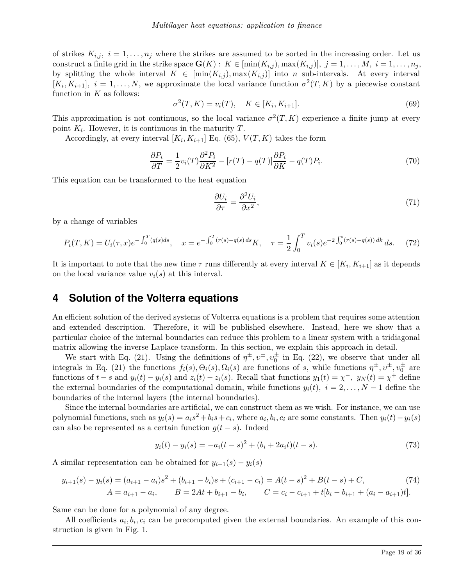of strikes  $K_{i,j}$ ,  $i = 1, \ldots, n_j$  where the strikes are assumed to be sorted in the increasing order. Let us construct a finite grid in the strike space  $\mathbf{G}(K) : K \in [\min(K_{i,j}), \max(K_{i,j})], j = 1, \ldots, M, i = 1, \ldots, n_j$ by splitting the whole interval  $K \in [min(K_{i,j}), max(K_{i,j})]$  into *n* sub-intervals. At every interval  $[K_i, K_{i+1}]$ ,  $i = 1, \ldots, N$ , we approximate the local variance function  $\sigma^2(T, K)$  by a piecewise constant function in *K* as follows:

$$
\sigma^{2}(T, K) = v_{i}(T), \quad K \in [K_{i}, K_{i+1}].
$$
\n(69)

This approximation is not continuous, so the local variance  $\sigma^2(T, K)$  experience a finite jump at every point *K<sup>i</sup>* . However, it is continuous in the maturity *T*.

Accordingly, at every interval  $[K_i, K_{i+1}]$  Eq. (65),  $V(T, K)$  takes the form

$$
\frac{\partial P_i}{\partial T} = \frac{1}{2} v_i(T) \frac{\partial^2 P_i}{\partial K^2} - \left[r(T) - q(T)\right] \frac{\partial P_i}{\partial K} - q(T) P_i. \tag{70}
$$

This equation can be transformed to the heat equation

$$
\frac{\partial U_i}{\partial \tau} = \frac{\partial^2 U_i}{\partial x^2},\tag{71}
$$

by a change of variables

$$
P_i(T, K) = U_i(\tau, x)e^{-\int_0^T (q(s)ds)}, \quad x = e^{-\int_0^T (r(s) - q(s)ds)}K, \quad \tau = \frac{1}{2}\int_0^T v_i(s)e^{-2\int_0^s (r(s) - q(s))ds}ds. \tag{72}
$$

It is important to note that the new time  $\tau$  runs differently at every interval  $K \in [K_i, K_{i+1}]$  as it depends on the local variance value  $v_i(s)$  at this interval.

### **4 Solution of the Volterra equations**

An efficient solution of the derived systems of Volterra equations is a problem that requires some attention and extended description. Therefore, it will be published elsewhere. Instead, here we show that a particular choice of the internal boundaries can reduce this problem to a linear system with a tridiagonal matrix allowing the inverse Laplace transform. In this section, we explain this approach in detail.

We start with Eq. (21). Using the definitions of  $\eta^{\pm}, v^{\pm}, v_0^{\pm}$  in Eq. (22), we observe that under all integrals in Eq. (21) the functions  $f_i(s), \Theta_i(s), \Omega_i(s)$  are functions of *s*, while functions  $\eta^{\pm}, \nu^{\pm}, \nu_0^{\pm}$  are functions of  $t-s$  and  $y_i(t) - y_i(s)$  and  $z_i(t) - z_i(s)$ . Recall that functions  $y_1(t) = \chi^-, y_N(t) = \chi^+$  define the external boundaries of the computational domain, while functions  $y_i(t)$ ,  $i = 2, \ldots, N-1$  define the boundaries of the internal layers (the internal boundaries).

Since the internal boundaries are artificial, we can construct them as we wish. For instance, we can use polynomial functions, such as  $y_i(s) = a_i s^2 + b_i s + c_i$ , where  $a_i, b_i, c_i$  are some constants. Then  $y_i(t) - y_i(s)$ can also be represented as a certain function  $g(t-s)$ . Indeed

$$
y_i(t) - y_i(s) = -a_i(t - s)^2 + (b_i + 2a_i t)(t - s).
$$
\n(73)

A similar representation can be obtained for  $y_{i+1}(s) - y_i(s)$ 

$$
y_{i+1}(s) - y_i(s) = (a_{i+1} - a_i)s^2 + (b_{i+1} - b_i)s + (c_{i+1} - c_i) = A(t-s)^2 + B(t-s) + C,
$$
  
\n
$$
A = a_{i+1} - a_i, \qquad B = 2At + b_{i+1} - b_i, \qquad C = c_i - c_{i+1} + t[b_i - b_{i+1} + (a_i - a_{i+1})t].
$$
\n(74)

Same can be done for a polynomial of any degree.

All coefficients  $a_i, b_i, c_i$  can be precomputed given the external boundaries. An example of this construction is given in Fig. 1.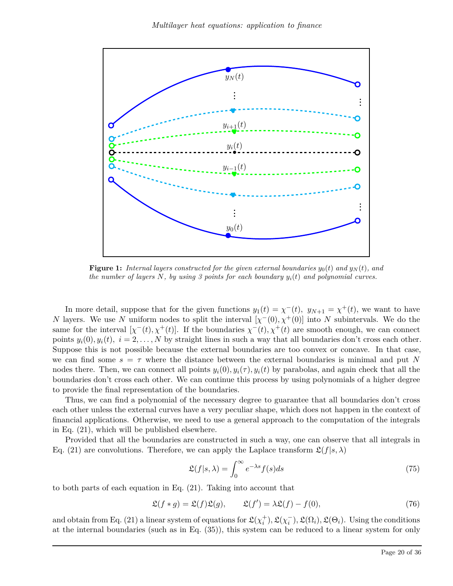

**Figure 1:** *Internal layers constructed for the given external boundaries*  $y_0(t)$  and  $y_N(t)$ , and *the number of layers N, by using 3 points for each boundary yi*(*t*) *and polynomial curves.*

In more detail, suppose that for the given functions  $y_1(t) = \chi^-(t)$ ,  $y_{N+1} = \chi^+(t)$ , we want to have *N* layers. We use *N* uniform nodes to split the interval  $[\chi^-(0), \chi^+(0)]$  into *N* subintervals. We do the same for the interval  $[\chi^-(t), \chi^+(t)]$ . If the boundaries  $\chi^-(t), \chi^+(t)$  are smooth enough, we can connect points  $y_i(0), y_i(t), i = 2, ..., N$  by straight lines in such a way that all boundaries don't cross each other. Suppose this is not possible because the external boundaries are too convex or concave. In that case, we can find some  $s = \tau$  where the distance between the external boundaries is minimal and put N nodes there. Then, we can connect all points  $y_i(0), y_i(\tau), y_i(t)$  by parabolas, and again check that all the boundaries don't cross each other. We can continue this process by using polynomials of a higher degree to provide the final representation of the boundaries.

Thus, we can find a polynomial of the necessary degree to guarantee that all boundaries don't cross each other unless the external curves have a very peculiar shape, which does not happen in the context of financial applications. Otherwise, we need to use a general approach to the computation of the integrals in Eq. (21), which will be published elsewhere.

Provided that all the boundaries are constructed in such a way, one can observe that all integrals in Eq. (21) are convolutions. Therefore, we can apply the Laplace transform  $\mathfrak{L}(f|s,\lambda)$ 

$$
\mathfrak{L}(f|s,\lambda) = \int_0^\infty e^{-\lambda s} f(s)ds\tag{75}
$$

to both parts of each equation in Eq. (21). Taking into account that

$$
\mathfrak{L}(f * g) = \mathfrak{L}(f)\mathfrak{L}(g), \qquad \mathfrak{L}(f') = \lambda \mathfrak{L}(f) - f(0), \tag{76}
$$

and obtain from Eq. (21) a linear system of equations for  $\mathfrak{L}(\chi_i^+), \mathfrak{L}(\chi_i^-), \mathfrak{L}(\Omega_i), \mathfrak{L}(\Theta_i)$ . Using the conditions at the internal boundaries (such as in Eq. (35)), this system can be reduced to a linear system for only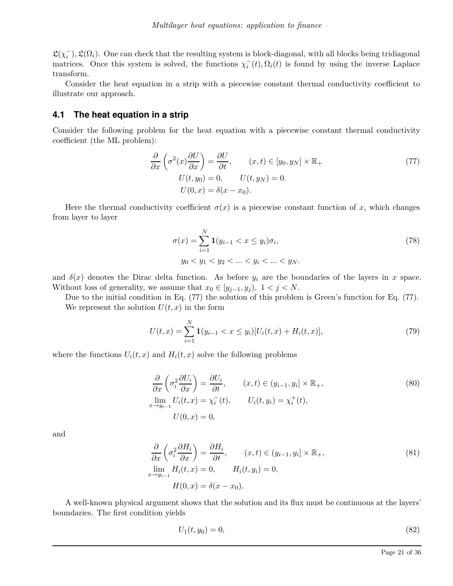$\mathfrak{L}(\chi_i^-), \mathfrak{L}(\Omega_i)$ . One can check that the resulting system is block-diagonal, with all blocks being tridiagonal matrices. Once this system is solved, the functions  $\chi_i^-(t), \Omega_i(t)$  is found by using the inverse Laplace transform.

Consider the heat equation in a strip with a piecewise constant thermal conductivity coefficient to illustrate our approach.

### **4.1 The heat equation in a strip**

Consider the following problem for the heat equation with a piecewise constant thermal conductivity coefficient (the ML problem):

$$
\frac{\partial}{\partial x}\left(\sigma^2(x)\frac{\partial U}{\partial x}\right) = \frac{\partial U}{\partial t}, \qquad (x,t) \in [y_0, y_N] \times \mathbb{R}_+
$$
  
\n
$$
U(t, y_0) = 0, \qquad U(t, y_N) = 0.
$$
  
\n
$$
U(0, x) = \delta(x - x_0).
$$
\n(77)

Here the thermal conductivity coefficient  $\sigma(x)$  is a piecewise constant function of *x*, which changes from layer to layer

$$
\sigma(x) = \sum_{i=1}^{N} \mathbf{1}(y_{i-1} < x \le y_i)\sigma_i,
$$
\n
$$
y_0 < y_1 < y_2 < \dots < y_i < \dots < y_N.
$$
\n
$$
(78)
$$

and  $\delta(x)$  denotes the Dirac delta function. As before  $y_i$  are the boundaries of the layers in x space. Without loss of generality, we assume that  $x_0 \in [y_{j-1}, y_j)$ ,  $1 < j < N$ .

Due to the initial condition in Eq. (77) the solution of this problem is Green's function for Eq. (77). We represent the solution  $U(t, x)$  in the form

$$
U(t,x) = \sum_{i=1}^{N} \mathbf{1}(y_{i-1} < x \le y_i) [U_i(t,x) + H_i(t,x)],\tag{79}
$$

where the functions  $U_i(t, x)$  and  $H_i(t, x)$  solve the following problems

$$
\frac{\partial}{\partial x} \left( \sigma_i^2 \frac{\partial U_i}{\partial x} \right) = \frac{\partial U_i}{\partial t}, \qquad (x, t) \in (y_{i-1}, y_i] \times \mathbb{R}_+,
$$
\n
$$
\lim_{x \to y_{i-1}} U_i(t, x) = \chi_i^-(t), \qquad U_i(t, y_i) = \chi_i^+(t),
$$
\n
$$
U(0, x) = 0,
$$
\n(80)

and

$$
\frac{\partial}{\partial x} \left( \sigma_i^2 \frac{\partial H_i}{\partial x} \right) = \frac{\partial H_i}{\partial t}, \qquad (x, t) \in (y_{i-1}, y_i] \times \mathbb{R}_+, \n\lim_{x \to y_{i-1}} H_i(t, x) = 0, \qquad H_i(t, y_i) = 0, \nH(0, x) = \delta(x - x_0).
$$
\n(81)

A well-known physical argument shows that the solution and its flux must be continuous at the layers' boundaries. The first condition yields

$$
U_1(t, y_0) = 0,\t\t(82)
$$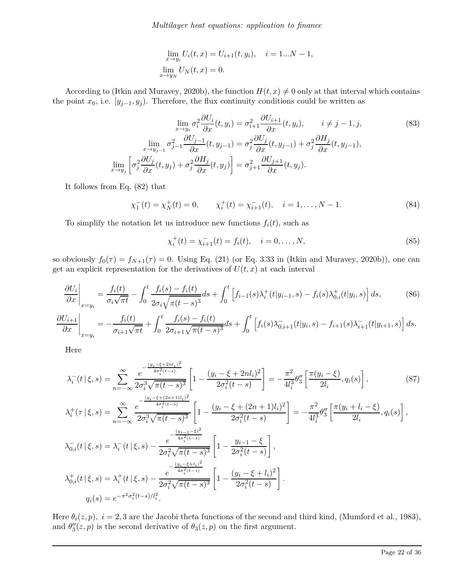$$
\lim_{x \to y_i} U_i(t, x) = U_{i+1}(t, y_i), \quad i = 1...N - 1,
$$
  

$$
\lim_{x \to y_N} U_N(t, x) = 0.
$$

According to (Itkin and Muravey, 2020b), the function  $H(t, x) \neq 0$  only at that interval which contains the point  $x_0$ , i.e.  $[y_{j-1}, y_j]$ . Therefore, the flux continuity conditions could be written as

$$
\lim_{x \to y_i} \sigma_i^2 \frac{\partial U_i}{\partial x}(t, y_i) = \sigma_{i+1}^2 \frac{\partial U_{i+1}}{\partial x}(t, y_i), \qquad i \neq j-1, j,
$$
\n
$$
\lim_{x \to y_{j-1}} \sigma_{j-1}^2 \frac{\partial U_{j-1}}{\partial x}(t, y_{j-1}) = \sigma_j^2 \frac{\partial U_j}{\partial x}(t, y_{j-1}) + \sigma_j^2 \frac{\partial H_j}{\partial x}(t, y_{j-1}),
$$
\n
$$
\lim_{x \to y_j} \left[ \sigma_j^2 \frac{\partial U_j}{\partial x}(t, y_j) + \sigma_j^2 \frac{\partial H_j}{\partial x}(t, y_j) \right] = \sigma_{j+1}^2 \frac{\partial U_{j+1}}{\partial x}(t, y_j).
$$
\n(83)

It follows from Eq. (82) that

$$
\chi_1^-(t) = \chi_N^+(t) = 0, \qquad \chi_i^+(t) = \chi_{i+1}^-(t), \quad i = 1, \dots, N-1.
$$
\n(84)

To simplify the notation let us introduce new functions  $f_i(t)$ , such as

$$
\chi_i^+(t) = \chi_{i+1}^-(t) = f_i(t), \quad i = 0, \dots, N,
$$
\n(85)

so obviously  $f_0(\tau) = f_{N+1}(\tau) = 0$ . Using Eq. (21) (or Eq. 3.33 in (Itkin and Muravey, 2020b)), one can get an explicit representation for the derivatives of  $U(t, x)$  at each interval

$$
\frac{\partial U_i}{\partial x}\bigg|_{x=y_i} = \frac{f_i(t)}{\sigma_i \sqrt{\pi t}} - \int_0^t \frac{f_i(s) - f_i(t)}{2\sigma_i \sqrt{\pi (t-s)^3}} ds + \int_0^t \left[ f_{i-1}(s)\lambda_i^+(t|y_{i-1}, s) - f_i(s)\lambda_{0,i}^+(t|y_i, s) \right] ds,\tag{86}
$$

$$
\frac{\partial U_{i+1}}{\partial x}\Big|_{x=y_i} = -\frac{f_i(t)}{\sigma_{i+1}\sqrt{\pi t}} + \int_0^t \frac{f_i(s) - f_i(t)}{2\sigma_{i+1}\sqrt{\pi (t-s)^3}} ds + \int_0^t \left[ f_i(s)\lambda_{0,i+1}^-(t|y_i,s) - f_{i+1}(s)\lambda_{i+1}^-(t|y_{i+1},s) \right] ds.
$$

Here

$$
\lambda_{i}^{-}(t|\xi,s) = \sum_{n=-\infty}^{\infty} \frac{e^{-\frac{(y_{i}-\xi+nl_{i})^{2}}{4\sigma_{i}^{2}(t-s)}}}{2\sigma_{i}^{3}\sqrt{\pi(t-s)^{3}}}\left[1-\frac{(y_{i}-\xi+2nl_{i})^{2}}{2\sigma_{i}^{2}(t-s)}\right] = -\frac{\pi^{2}}{4l_{i}^{3}}\theta_{3}''\left[\frac{\pi(y_{i}-\xi)}{2l_{i}},q_{i}(s)\right],
$$
\n
$$
\lambda_{i}^{+}(\tau|\xi,s) = \sum_{n=-\infty}^{\infty} \frac{e^{-\frac{(y_{i}-\xi+(2n+1)l_{i})^{2}}{4\sigma_{i}^{2}(t-s)}}}{2\sigma_{i}^{3}\sqrt{\pi(t-s)^{3}}}\left[1-\frac{(y_{i}-\xi+(2n+1)l_{i})^{2}}{2\sigma_{i}^{2}(t-s)}\right] = -\frac{\pi^{2}}{4l_{i}^{3}}\theta_{3}''\left[\frac{\pi(y_{i}+l_{i}-\xi)}{2l_{i}},q_{i}(s)\right],
$$
\n
$$
\lambda_{0,i}^{-}(t|\xi,s) = \lambda_{i}^{-}(t|\xi,s) - \frac{e^{-\frac{(y_{i-1}-\xi)^{2}}{4\sigma_{i}^{2}(t-s)}}}{2\sigma_{i}^{2}\sqrt{\pi(t-s)^{3}}}\left[1-\frac{y_{i-1}-\xi}{2\sigma_{i}^{2}(t-s)}\right],
$$
\n
$$
\lambda_{0,i}^{+}(t|\xi,s) = \lambda_{i}^{+}(t|\xi,s) - \frac{e^{-\frac{(y_{i}-\xi+l_{i})^{2}}{4\sigma_{i}^{2}(t-s)}}}{2\sigma_{i}^{2}\sqrt{\pi(t-s)^{3}}}\left[1-\frac{(y_{i}-\xi+l_{i})^{2}}{2\sigma_{i}^{2}(t-s)}\right].
$$
\n
$$
q_{i}(s) = e^{-\pi^{2}\sigma_{i}^{2}(t-s)/l_{i}^{2}}.
$$
\n(87)

Here  $\theta_i(z, p)$ ,  $i = 2, 3$  are the Jacobi theta functions of the second and third kind, (Mumford et al., 1983), and  $\theta''_3(z,p)$  is the second derivative of  $\theta_3(z,p)$  on the first argument.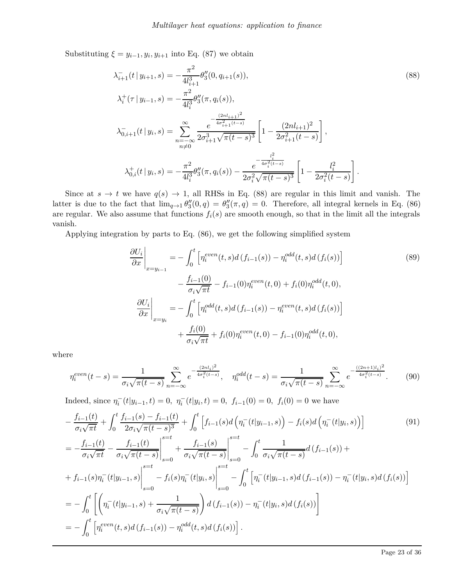Substituting  $\xi = y_{i-1}, y_i, y_{i+1}$  into Eq. (87) we obtain

$$
\lambda_{i+1}^{-}(t | y_{i+1}, s) = -\frac{\pi^2}{4l_{i+1}^3} \theta_3''(0, q_{i+1}(s)),
$$
\n
$$
\lambda_i^+(\tau | y_{i-1}, s) = -\frac{\pi^2}{4l_i^3} \theta_3''(\pi, q_i(s)),
$$
\n
$$
\lambda_{0,i+1}^{-}(t | y_i, s) = \sum_{\substack{n = -\infty \\ n \neq 0}}^{\infty} \frac{e^{-\frac{(2nl_{i+1})^2}{4\sigma_{i+1}^2(t-s)}}}{2\sigma_{i+1}^3 \sqrt{\pi(t-s)^3}} \left[1 - \frac{(2nl_{i+1})^2}{2\sigma_{i+1}^2(t-s)}\right],
$$
\n
$$
\lambda_{0,i}^+(t | y_i, s) = -\frac{\pi^2}{4l_i^3} \theta_3''(\pi, q_i(s)) - \frac{e^{-\frac{l_i^2}{4\sigma_i^2(t-s)}}}{2\sigma_i^2 \sqrt{\pi(t-s)^3}} \left[1 - \frac{l_i^2}{2\sigma_i^2(t-s)}\right].
$$
\n(88)

Since at  $s \to t$  we have  $q(s) \to 1$ , all RHSs in Eq. (88) are regular in this limit and vanish. The latter is due to the fact that  $\lim_{q\to 1} \theta''_3(0,q) = \theta''_3(\pi,q) = 0$ . Therefore, all integral kernels in Eq. (86) are regular. We also assume that functions  $f_i(s)$  are smooth enough, so that in the limit all the integrals vanish.

Applying integration by parts to Eq. (86), we get the following simplified system

$$
\frac{\partial U_i}{\partial x}\Big|_{x=y_{i-1}} = -\int_0^t \left[\eta_i^{even}(t,s)d(f_{i-1}(s)) - \eta_i^{odd}(t,s)d(f_i(s))\right] \n- \frac{f_{i-1}(0)}{\sigma_i\sqrt{\pi t}} - f_{i-1}(0)\eta_i^{even}(t,0) + f_i(0)\eta_i^{odd}(t,0), \n\frac{\partial U_i}{\partial x}\Big|_{x=y_i} = -\int_0^t \left[\eta_i^{odd}(t,s)d(f_{i-1}(s)) - \eta_i^{even}(t,s)d(f_i(s))\right] \n+ \frac{f_i(0)}{\sigma_i\sqrt{\pi t}} + f_i(0)\eta_i^{even}(t,0) - f_{i-1}(0)\eta_i^{odd}(t,0),
$$
\n(89)

where

$$
\eta_i^{even}(t-s) = \frac{1}{\sigma_i \sqrt{\pi (t-s)}} \sum_{n=-\infty}^{\infty} e^{-\frac{(2nl_i)^2}{4\sigma_i^2 (t-s)}}, \quad \eta_i^{odd}(t-s) = \frac{1}{\sigma_i \sqrt{\pi (t-s)}} \sum_{n=-\infty}^{\infty} e^{-\frac{((2n+1)l_i)^2}{4\sigma_i^2 (t-s)}}.
$$
(90)

Indeed, since  $\eta_i^-(t|y_{i-1}, t) = 0$ ,  $\eta_i^-(t|y_i, t) = 0$ ,  $f_{i-1}(0) = 0$ ,  $f_i(0) = 0$  we have

$$
-\frac{f_{i-1}(t)}{\sigma_i \sqrt{\pi t}} + \int_0^t \frac{f_{i-1}(s) - f_{i-1}(t)}{2\sigma_i \sqrt{\pi (t-s)^3}} + \int_0^t \left[ f_{i-1}(s)d\left(\eta_i^-(t|y_{i-1},s)\right) - f_i(s)d\left(\eta_i^-(t|y_i,s)\right) \right] \tag{91}
$$
  
\n
$$
= -\frac{f_{i-1}(t)}{\sigma_i \sqrt{\pi t}} - \frac{f_{i-1}(t)}{\sigma_i \sqrt{\pi (t-s)}} \Big|_{s=0}^{s=t} + \frac{f_{i-1}(s)}{\sigma_i \sqrt{\pi (t-s)}} \Big|_{s=0}^{s=t} - \int_0^t \frac{1}{\sigma_i \sqrt{\pi (t-s)}} d\left(f_{i-1}(s)\right) +
$$
  
\n
$$
+ f_{i-1}(s)\eta_i^-(t|y_{i-1},s) \Big|_{s=0}^{s=t} - f_i(s)\eta_i^-(t|y_i,s) \Big|_{s=0}^{s=t} - \int_0^t \left[ \eta_i^-(t|y_{i-1},s)d\left(f_{i-1}(s)\right) - \eta_i^-(t|y_i,s)d\left(f_i(s)\right) \right]
$$
  
\n
$$
= -\int_0^t \left[ \left( \eta_i^-(t|y_{i-1},s) + \frac{1}{\sigma_i \sqrt{\pi (t-s)}} \right)d\left(f_{i-1}(s)\right) - \eta_i^-(t|y_i,s)d\left(f_i(s)\right) \right]
$$
  
\n
$$
= -\int_0^t \left[ \eta_i^{even}(t,s)d\left(f_{i-1}(s)\right) - \eta_i^{odd}(t,s)d\left(f_i(s)\right) \right].
$$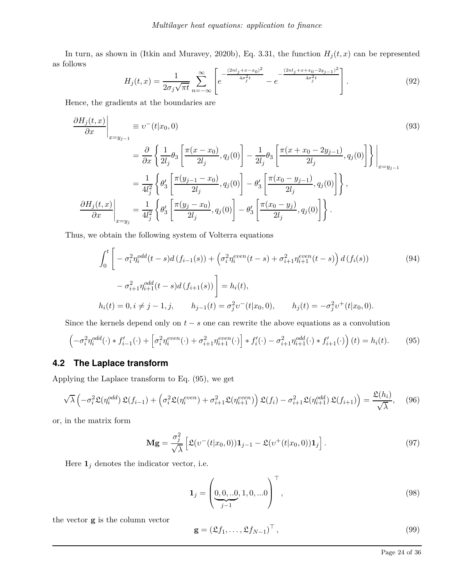In turn, as shown in (Itkin and Muravey, 2020b), Eq. 3.31, the function  $H_j(t, x)$  can be represented as follows

$$
H_j(t,x) = \frac{1}{2\sigma_j \sqrt{\pi t}} \sum_{n=-\infty}^{\infty} \left[ e^{-\frac{(2nl_j + x - x_0)^2}{4\sigma_j^2 t}} - e^{-\frac{(2nl_j + x + x_0 - 2y_{j-1})^2}{4\sigma_j^2 t}} \right].
$$
\n(92)

Hence, the gradients at the boundaries are

$$
\frac{\partial H_j(t, x)}{\partial x}\Big|_{x=y_{j-1}} = v^-(t|x_0, 0)
$$
\n
$$
= \frac{\partial}{\partial x} \left\{ \frac{1}{2l_j} \theta_3 \left[ \frac{\pi(x - x_0)}{2l_j}, q_j(0) \right] - \frac{1}{2l_j} \theta_3 \left[ \frac{\pi(x + x_0 - 2y_{j-1})}{2l_j}, q_j(0) \right] \right\} \Big|_{x=y_{j-1}}
$$
\n
$$
= \frac{1}{4l_j^2} \left\{ \theta_3' \left[ \frac{\pi(y_{j-1} - x_0)}{2l_j}, q_j(0) \right] - \theta_3' \left[ \frac{\pi(x_0 - y_{j-1})}{2l_j}, q_j(0) \right] \right\},
$$
\n
$$
\frac{\partial H_j(t, x)}{\partial x} \Big|_{x=y_j} = \frac{1}{4l_j^2} \left\{ \theta_3' \left[ \frac{\pi(y_j - x_0)}{2l_j}, q_j(0) \right] - \theta_3' \left[ \frac{\pi(x_0 - y_j)}{2l_j}, q_j(0) \right] \right\}.
$$
\n(93)

Thus, we obtain the following system of Volterra equations

$$
\int_{0}^{t} \left[ -\sigma_{i}^{2} \eta_{i}^{odd}(t-s) d(f_{i-1}(s)) + \left(\sigma_{i}^{2} \eta_{i}^{even}(t-s) + \sigma_{i+1}^{2} \eta_{i+1}^{even}(t-s)\right) d(f_{i}(s)) - \sigma_{i+1}^{2} \eta_{i+1}^{odd}(t-s) d(f_{i+1}(s)) \right] = h_{i}(t),
$$
\n
$$
h_{i}(t) = 0, i \neq j - 1, j, \qquad h_{j-1}(t) = \sigma_{j}^{2} v^{-}(t|x_{0}, 0), \qquad h_{j}(t) = -\sigma_{j}^{2} v^{+}(t|x_{0}, 0).
$$
\n(94)

Since the kernels depend only on  $t - s$  one can rewrite the above equations as a convolution

$$
\left(-\sigma_i^2 \eta_i^{odd}(\cdot) * f'_{i-1}(\cdot) + \left[\sigma_i^2 \eta_i^{even}(\cdot) + \sigma_{i+1}^2 \eta_{i+1}^{even}(\cdot)\right] * f'_{i}(\cdot) - \sigma_{i+1}^2 \eta_{i+1}^{odd}(\cdot) * f'_{i+1}(\cdot)\right)(t) = h_i(t). \tag{95}
$$

### **4.2 The Laplace transform**

Applying the Laplace transform to Eq. (95), we get

$$
\sqrt{\lambda}\left(-\sigma_i^2 \mathfrak{L}(\eta_i^{odd})\mathfrak{L}(f_{i-1}) + \left(\sigma_i^2 \mathfrak{L}(\eta_i^{even}) + \sigma_{i+1}^2 \mathfrak{L}(\eta_{i+1}^{even})\right)\mathfrak{L}(f_i) - \sigma_{i+1}^2 \mathfrak{L}(\eta_{i+1}^{odd})\mathfrak{L}(f_{i+1})\right) = \frac{\mathfrak{L}(h_i)}{\sqrt{\lambda}},\tag{96}
$$

or, in the matrix form

$$
\mathbf{Mg} = \frac{\sigma_j^2}{\sqrt{\lambda}} \left[ \mathfrak{L}(v^-(t|x_0, 0)) \mathbf{1}_{j-1} - \mathfrak{L}(v^+(t|x_0, 0)) \mathbf{1}_j \right]. \tag{97}
$$

Here  $\mathbf{1}_j$  denotes the indicator vector, i.e.

$$
\mathbf{1}_{j} = \left(\underbrace{0,0,..0}_{j-1},1,0,...0\right)^{\top},\tag{98}
$$

the vector **g** is the column vector

$$
\mathbf{g} = (\mathfrak{L}f_1, \dots, \mathfrak{L}f_{N-1})^{\top},\tag{99}
$$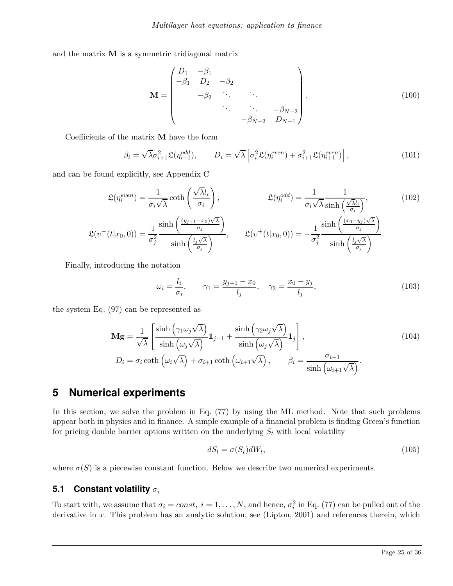and the matrix **M** is a symmetric tridiagonal matrix

$$
\mathbf{M} = \begin{pmatrix} D_1 & -\beta_1 & & & \\ -\beta_1 & D_2 & -\beta_2 & & \\ & -\beta_2 & \ddots & \ddots & \\ & & \ddots & \ddots & -\beta_{N-2} \\ & & & -\beta_{N-2} & D_{N-1} \end{pmatrix},
$$
(100)

Coefficients of the matrix **M** have the form

$$
\beta_i = \sqrt{\lambda} \sigma_{i+1}^2 \mathfrak{L}(\eta_{i+1}^{odd}), \qquad D_i = \sqrt{\lambda} \left[ \sigma_i^2 \mathfrak{L}(\eta_i^{even}) + \sigma_{i+1}^2 \mathfrak{L}(\eta_{i+1}^{even}) \right], \tag{101}
$$

and can be found explicitly, see Appendix C

$$
\mathfrak{L}(\eta_i^{even}) = \frac{1}{\sigma_i \sqrt{\lambda}} \coth\left(\frac{\sqrt{\lambda}l_i}{\sigma_i}\right), \qquad \mathfrak{L}(\eta_i^{odd}) = \frac{1}{\sigma_i \sqrt{\lambda}} \frac{1}{\sinh\left(\frac{\sqrt{\lambda}l_i}{\sigma_i}\right)}, \qquad (102)
$$
\n
$$
\mathfrak{L}(v^-(t|x_0,0)) = \frac{1}{\sigma_j^2} \frac{\sinh\left(\frac{(y_{j+1}-x_0)\sqrt{\lambda}}{\sigma_j}\right)}{\sinh\left(\frac{l_j\sqrt{\lambda}}{\sigma_j}\right)}, \qquad \mathfrak{L}(v^+(t|x_0,0)) = -\frac{1}{\sigma_j^2} \frac{\sinh\left(\frac{(x_0-y_j)\sqrt{\lambda}}{\sigma_j}\right)}{\sinh\left(\frac{l_j\sqrt{\lambda}}{\sigma_j}\right)}.
$$

Finally, introducing the notation

$$
\omega_i = \frac{l_i}{\sigma_i}, \qquad \gamma_1 = \frac{y_{j+1} - x_0}{l_j}, \quad \gamma_2 = \frac{x_0 - y_j}{l_j}, \tag{103}
$$

the system Eq. (97) can be represented as

$$
\mathbf{M}\mathbf{g} = \frac{1}{\sqrt{\lambda}} \left[ \frac{\sinh\left(\gamma_1 \omega_j \sqrt{\lambda}\right)}{\sinh\left(\omega_j \sqrt{\lambda}\right)} \mathbf{1}_{j-1} + \frac{\sinh\left(\gamma_2 \omega_j \sqrt{\lambda}\right)}{\sinh\left(\omega_j \sqrt{\lambda}\right)} \mathbf{1}_j \right],
$$
\n
$$
D_i = \sigma_i \coth\left(\omega_i \sqrt{\lambda}\right) + \sigma_{i+1} \coth\left(\omega_{i+1} \sqrt{\lambda}\right), \qquad \beta_i = \frac{\sigma_{i+1}}{\sinh\left(\omega_{i+1} \sqrt{\lambda}\right)}.
$$
\n(104)

# **5 Numerical experiments**

In this section, we solve the problem in Eq. (77) by using the ML method. Note that such problems appear both in physics and in finance. A simple example of a financial problem is finding Green's function for pricing double barrier options written on the underlying  $S_t$  with local volatility

$$
dS_t = \sigma(S_t)dW_t,\tag{105}
$$

where  $\sigma(S)$  is a piecewise constant function. Below we describe two numerical experiments.

#### **5.1 Constant volatility** *σ<sup>i</sup>*

To start with, we assume that  $\sigma_i = const$ ,  $i = 1, ..., N$ , and hence,  $\sigma_i^2$  in Eq. (77) can be pulled out of the derivative in x. This problem has an analytic solution, see (Lipton, 2001) and references therein, which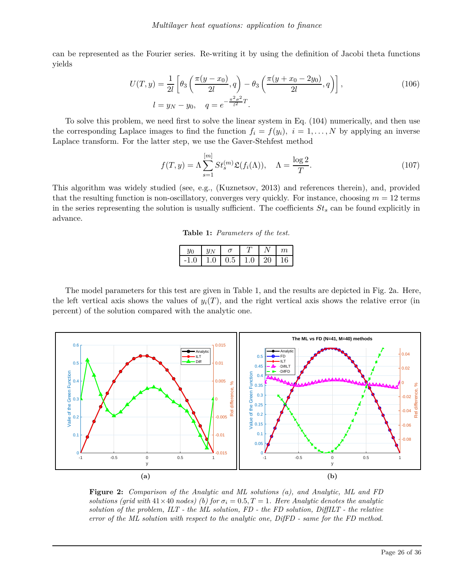can be represented as the Fourier series. Re-writing it by using the definition of Jacobi theta functions yields

$$
U(T, y) = \frac{1}{2l} \left[ \theta_3 \left( \frac{\pi (y - x_0)}{2l}, q \right) - \theta_3 \left( \frac{\pi (y + x_0 - 2y_0)}{2l}, q \right) \right],
$$
\n
$$
l = y_N - y_0, \quad q = e^{-\frac{\pi^2 \sigma^2}{l^2}T}.
$$
\n(106)

To solve this problem, we need first to solve the linear system in Eq. (104) numerically, and then use the corresponding Laplace images to find the function  $f_i = f(y_i)$ ,  $i = 1, \ldots, N$  by applying an inverse Laplace transform. For the latter step, we use the Gaver-Stehfest method

$$
f(T, y) = \Lambda \sum_{s=1}^{[m]} St_s^{(m)} \mathfrak{L}(f_i(\Lambda)), \quad \Lambda = \frac{\log 2}{T}.
$$
 (107)

This algorithm was widely studied (see, e.g., (Kuznetsov, 2013) and references therein), and, provided that the resulting function is non-oscillatory, converges very quickly. For instance, choosing  $m = 12$  terms in the series representing the solution is usually sufficient. The coefficients *St<sup>s</sup>* can be found explicitly in advance.

**Table 1:** *Parameters of the test.*

|        | $y_N$ |                       |            | $\boldsymbol{m}$ |
|--------|-------|-----------------------|------------|------------------|
| $-1.0$ |       | $1.0 \pm 0.5 \pm 1.0$ | $\vert$ 20 | 16               |

The model parameters for this test are given in Table 1, and the results are depicted in Fig. 2a. Here, the left vertical axis shows the values of  $y_i(T)$ , and the right vertical axis shows the relative error (in percent) of the solution compared with the analytic one.



**Figure 2:** *Comparison of the Analytic and ML solutions (a), and Analytic, ML and FD solutions (grid with*  $41 \times 40$  *nodes) (b) for*  $\sigma_i = 0.5, T = 1$ *. Here Analytic denotes the analytic solution of the problem, ILT - the ML solution, FD - the FD solution, DiffILT - the relative error of the ML solution with respect to the analytic one, DifFD - same for the FD method.*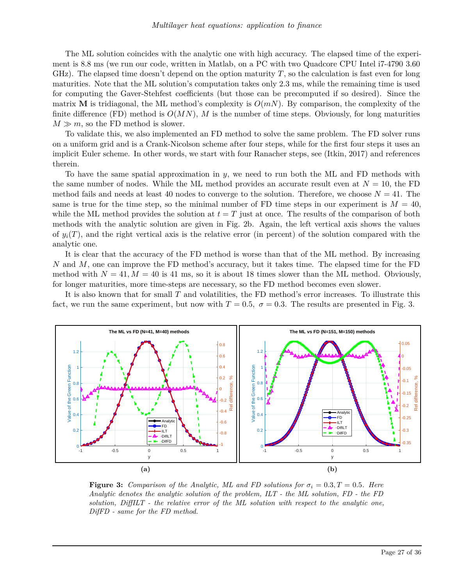The ML solution coincides with the analytic one with high accuracy. The elapsed time of the experiment is 8.8 ms (we run our code, written in Matlab, on a PC with two Quadcore CPU Intel i7-4790 3.60 GHz). The elapsed time doesn't depend on the option maturity *T*, so the calculation is fast even for long maturities. Note that the ML solution's computation takes only 2.3 ms, while the remaining time is used for computing the Gaver-Stehfest coefficients (but those can be precomputed if so desired). Since the matrix **M** is tridiagonal, the ML method's complexity is  $O(mN)$ . By comparison, the complexity of the finite difference (FD) method is  $O(MN)$ , M is the number of time steps. Obviously, for long maturities  $M \gg m$ , so the FD method is slower.

To validate this, we also implemented an FD method to solve the same problem. The FD solver runs on a uniform grid and is a Crank-Nicolson scheme after four steps, while for the first four steps it uses an implicit Euler scheme. In other words, we start with four Ranacher steps, see (Itkin, 2017) and references therein.

To have the same spatial approximation in *y*, we need to run both the ML and FD methods with the same number of nodes. While the ML method provides an accurate result even at  $N = 10$ , the FD method fails and needs at least 40 nodes to converge to the solution. Therefore, we choose  $N = 41$ . The same is true for the time step, so the minimal number of FD time steps in our experiment is  $M = 40$ , while the ML method provides the solution at  $t = T$  just at once. The results of the comparison of both methods with the analytic solution are given in Fig. 2b. Again, the left vertical axis shows the values of  $y_i(T)$ , and the right vertical axis is the relative error (in percent) of the solution compared with the analytic one.

It is clear that the accuracy of the FD method is worse than that of the ML method. By increasing *N* and *M*, one can improve the FD method's accuracy, but it takes time. The elapsed time for the FD method with  $N = 41, M = 40$  is 41 ms, so it is about 18 times slower than the ML method. Obviously, for longer maturities, more time-steps are necessary, so the FD method becomes even slower.

It is also known that for small *T* and volatilities, the FD method's error increases. To illustrate this fact, we run the same experiment, but now with  $T = 0.5$ ,  $\sigma = 0.3$ . The results are presented in Fig. 3.



**Figure 3:** *Comparison of the Analytic, ML and FD solutions for*  $\sigma_i = 0.3$ ,  $T = 0.5$ *. Here Analytic denotes the analytic solution of the problem, ILT - the ML solution, FD - the FD solution, DiffILT - the relative error of the ML solution with respect to the analytic one, DifFD - same for the FD method.*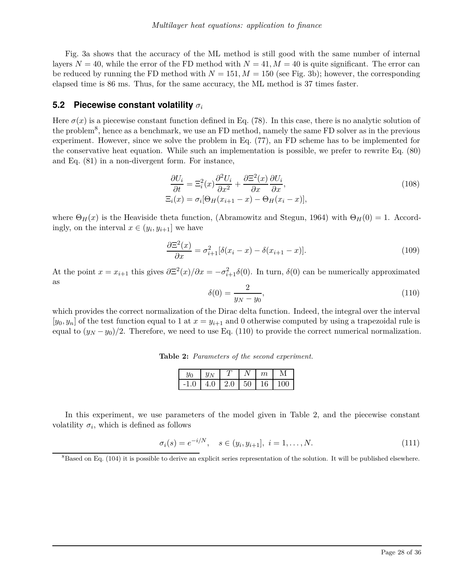Fig. 3a shows that the accuracy of the ML method is still good with the same number of internal layers  $N = 40$ , while the error of the FD method with  $N = 41$ ,  $M = 40$  is quite significant. The error can be reduced by running the FD method with  $N = 151, M = 150$  (see Fig. 3b); however, the corresponding elapsed time is 86 ms. Thus, for the same accuracy, the ML method is 37 times faster.

#### **5.2 Piecewise constant volatility** *σ<sup>i</sup>*

Here  $\sigma(x)$  is a piecewise constant function defined in Eq. (78). In this case, there is no analytic solution of the problem<sup>8</sup>, hence as a benchmark, we use an FD method, namely the same FD solver as in the previous experiment. However, since we solve the problem in Eq. (77), an FD scheme has to be implemented for the conservative heat equation. While such an implementation is possible, we prefer to rewrite Eq. (80) and Eq. (81) in a non-divergent form. For instance,

$$
\frac{\partial U_i}{\partial t} = \Xi_i^2(x)\frac{\partial^2 U_i}{\partial x^2} + \frac{\partial \Xi^2(x)}{\partial x}\frac{\partial U_i}{\partial x},
$$
  
\n
$$
\Xi_i(x) = \sigma_i[\Theta_H(x_{i+1} - x) - \Theta_H(x_i - x)],
$$
\n(108)

where  $\Theta_H(x)$  is the Heaviside theta function, (Abramowitz and Stegun, 1964) with  $\Theta_H(0) = 1$ . Accordingly, on the interval  $x \in (y_i, y_{i+1}]$  we have

$$
\frac{\partial \Xi^2(x)}{\partial x} = \sigma_{i+1}^2 [\delta(x_i - x) - \delta(x_{i+1} - x)]. \tag{109}
$$

At the point  $x = x_{i+1}$  this gives  $\partial \Xi^2(x)/\partial x = -\sigma_{i+1}^2 \delta(0)$ . In turn,  $\delta(0)$  can be numerically approximated as

$$
\delta(0) = \frac{2}{y_N - y_0},\tag{110}
$$

which provides the correct normalization of the Dirac delta function. Indeed, the integral over the interval  $[y_0, y_n]$  of the test function equal to 1 at  $x = y_{i+1}$  and 0 otherwise computed by using a trapezoidal rule is equal to  $(y_N - y_0)/2$ . Therefore, we need to use Eq. (110) to provide the correct numerical normalization.

**Table 2:** *Parameters of the second experiment.*

| $u_0$ |     |     |    | $\,m$ |          |
|-------|-----|-----|----|-------|----------|
|       | 4.0 | 2.0 | 50 | 16    | $\Omega$ |

In this experiment, we use parameters of the model given in Table 2, and the piecewise constant volatility  $\sigma_i$ , which is defined as follows

$$
\sigma_i(s) = e^{-i/N}, \quad s \in (y_i, y_{i+1}], \ i = 1, \dots, N. \tag{111}
$$

<sup>&</sup>lt;sup>8</sup>Based on Eq. (104) it is possible to derive an explicit series representation of the solution. It will be published elsewhere.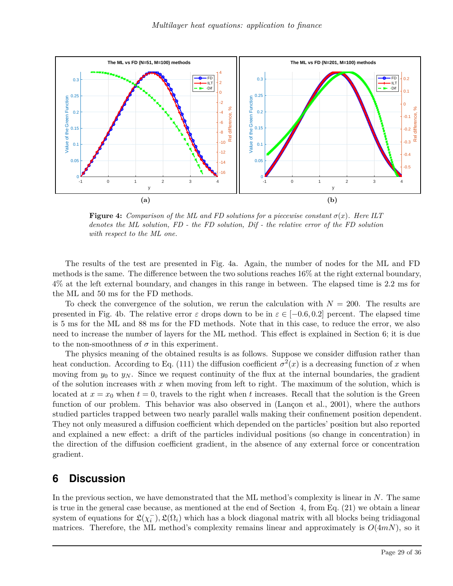

**Figure 4:** *Comparison of the ML and FD solutions for a piecewise constant*  $\sigma(x)$ *. Here ILT denotes the ML solution, FD - the FD solution, Dif - the relative error of the FD solution with respect to the ML one.*

The results of the test are presented in Fig. 4a. Again, the number of nodes for the ML and FD methods is the same. The difference between the two solutions reaches 16% at the right external boundary, 4% at the left external boundary, and changes in this range in between. The elapsed time is 2.2 ms for the ML and 50 ms for the FD methods.

To check the convergence of the solution, we rerun the calculation with *N* = 200. The results are presented in Fig. 4b. The relative error  $\varepsilon$  drops down to be in  $\varepsilon \in [-0.6, 0.2]$  percent. The elapsed time is 5 ms for the ML and 88 ms for the FD methods. Note that in this case, to reduce the error, we also need to increase the number of layers for the ML method. This effect is explained in Section 6; it is due to the non-smoothness of  $\sigma$  in this experiment.

The physics meaning of the obtained results is as follows. Suppose we consider diffusion rather than heat conduction. According to Eq. (111) the diffusion coefficient  $\sigma^2(x)$  is a decreasing function of *x* when moving from  $y_0$  to  $y_N$ . Since we request continuity of the flux at the internal boundaries, the gradient of the solution increases with *x* when moving from left to right. The maximum of the solution, which is located at  $x = x_0$  when  $t = 0$ , travels to the right when t increases. Recall that the solution is the Green function of our problem. This behavior was also observed in (Lançon et al., 2001), where the authors studied particles trapped between two nearly parallel walls making their confinement position dependent. They not only measured a diffusion coefficient which depended on the particles' position but also reported and explained a new effect: a drift of the particles individual positions (so change in concentration) in the direction of the diffusion coefficient gradient, in the absence of any external force or concentration gradient.

## **6 Discussion**

In the previous section, we have demonstrated that the ML method's complexity is linear in *N*. The same is true in the general case because, as mentioned at the end of Section 4, from Eq. (21) we obtain a linear system of equations for  $\mathfrak{L}(\chi_i^-), \mathfrak{L}(\Omega_i)$  which has a block diagonal matrix with all blocks being tridiagonal matrices. Therefore, the ML method's complexity remains linear and approximately is  $O(4m)$ , so it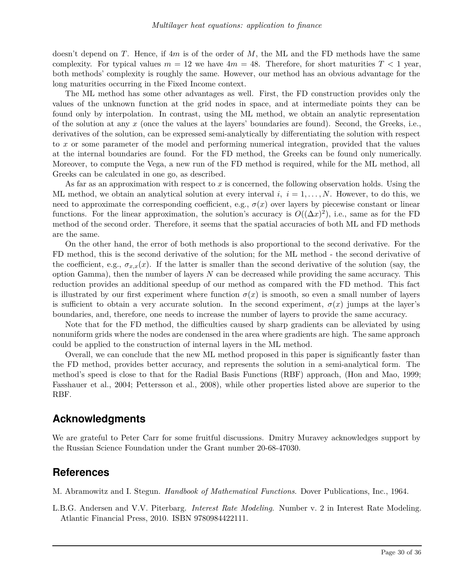doesn't depend on *T*. Hence, if 4*m* is of the order of *M*, the ML and the FD methods have the same complexity. For typical values  $m = 12$  we have  $4m = 48$ . Therefore, for short maturities  $T < 1$  year, both methods' complexity is roughly the same. However, our method has an obvious advantage for the long maturities occurring in the Fixed Income context.

The ML method has some other advantages as well. First, the FD construction provides only the values of the unknown function at the grid nodes in space, and at intermediate points they can be found only by interpolation. In contrast, using the ML method, we obtain an analytic representation of the solution at any *x* (once the values at the layers' boundaries are found). Second, the Greeks, i.e., derivatives of the solution, can be expressed semi-analytically by differentiating the solution with respect to *x* or some parameter of the model and performing numerical integration, provided that the values at the internal boundaries are found. For the FD method, the Greeks can be found only numerically. Moreover, to compute the Vega, a new run of the FD method is required, while for the ML method, all Greeks can be calculated in one go, as described.

As far as an approximation with respect to *x* is concerned, the following observation holds. Using the ML method, we obtain an analytical solution at every interval  $i, i = 1, \ldots, N$ . However, to do this, we need to approximate the corresponding coefficient, e.g.,  $\sigma(x)$  over layers by piecewise constant or linear functions. For the linear approximation, the solution's accuracy is  $O((\Delta x)^2)$ , i.e., same as for the FD method of the second order. Therefore, it seems that the spatial accuracies of both ML and FD methods are the same.

On the other hand, the error of both methods is also proportional to the second derivative. For the FD method, this is the second derivative of the solution; for the ML method - the second derivative of the coefficient, e.g.,  $\sigma_{x,x}(x)$ . If the latter is smaller than the second derivative of the solution (say, the option Gamma), then the number of layers *N* can be decreased while providing the same accuracy. This reduction provides an additional speedup of our method as compared with the FD method. This fact is illustrated by our first experiment where function  $\sigma(x)$  is smooth, so even a small number of layers is sufficient to obtain a very accurate solution. In the second experiment,  $\sigma(x)$  jumps at the layer's boundaries, and, therefore, one needs to increase the number of layers to provide the same accuracy.

Note that for the FD method, the difficulties caused by sharp gradients can be alleviated by using nonuniform grids where the nodes are condensed in the area where gradients are high. The same approach could be applied to the construction of internal layers in the ML method.

Overall, we can conclude that the new ML method proposed in this paper is significantly faster than the FD method, provides better accuracy, and represents the solution in a semi-analytical form. The method's speed is close to that for the Radial Basis Functions (RBF) approach, (Hon and Mao, 1999; Fasshauer et al., 2004; Pettersson et al., 2008), while other properties listed above are superior to the RBF.

### **Acknowledgments**

We are grateful to Peter Carr for some fruitful discussions. Dmitry Muravey acknowledges support by the Russian Science Foundation under the Grant number 20-68-47030.

### **References**

M. Abramowitz and I. Stegun. *Handbook of Mathematical Functions*. Dover Publications, Inc., 1964.

L.B.G. Andersen and V.V. Piterbarg. *Interest Rate Modeling*. Number v. 2 in Interest Rate Modeling. Atlantic Financial Press, 2010. ISBN 9780984422111.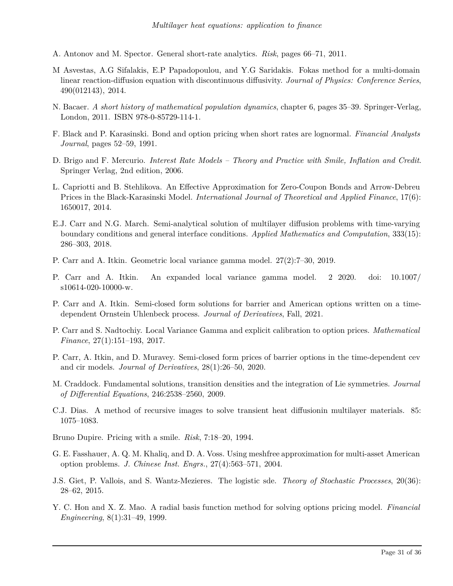- A. Antonov and M. Spector. General short-rate analytics. *Risk*, pages 66–71, 2011.
- M Asvestas, A.G Sifalakis, E.P Papadopoulou, and Y.G Saridakis. Fokas method for a multi-domain linear reaction-diffusion equation with discontinuous diffusivity. *Journal of Physics: Conference Series*, 490(012143), 2014.
- N. Bacaer. *A short history of mathematical population dynamics*, chapter 6, pages 35–39. Springer-Verlag, London, 2011. ISBN 978-0-85729-114-1.
- F. Black and P. Karasinski. Bond and option pricing when short rates are lognormal. *Financial Analysts Journal*, pages 52–59, 1991.
- D. Brigo and F. Mercurio. *Interest Rate Models Theory and Practice with Smile, Inflation and Credit*. Springer Verlag, 2nd edition, 2006.
- L. Capriotti and B. Stehlikova. An Effective Approximation for Zero-Coupon Bonds and Arrow-Debreu Prices in the Black-Karasinski Model. *International Journal of Theoretical and Applied Finance*, 17(6): 1650017, 2014.
- E.J. Carr and N.G. March. Semi-analytical solution of multilayer diffusion problems with time-varying boundary conditions and general interface conditions. *Applied Mathematics and Computation*, 333(15): 286–303, 2018.
- P. Carr and A. Itkin. Geometric local variance gamma model. 27(2):7–30, 2019.
- P. Carr and A. Itkin. An expanded local variance gamma model. 2 2020. doi: 10.1007/ s10614-020-10000-w.
- P. Carr and A. Itkin. Semi-closed form solutions for barrier and American options written on a timedependent Ornstein Uhlenbeck process. *Journal of Derivatives*, Fall, 2021.
- P. Carr and S. Nadtochiy. Local Variance Gamma and explicit calibration to option prices. *Mathematical Finance*, 27(1):151–193, 2017.
- P. Carr, A. Itkin, and D. Muravey. Semi-closed form prices of barrier options in the time-dependent cev and cir models. *Journal of Derivatives*, 28(1):26–50, 2020.
- M. Craddock. Fundamental solutions, transition densities and the integration of Lie symmetries. *Journal of Differential Equations*, 246:2538–2560, 2009.
- C.J. Dias. A method of recursive images to solve transient heat diffusionin multilayer materials. 85: 1075–1083.
- Bruno Dupire. Pricing with a smile. *Risk*, 7:18–20, 1994.
- G. E. Fasshauer, A. Q. M. Khaliq, and D. A. Voss. Using meshfree approximation for multi-asset American option problems. *J. Chinese Inst. Engrs.*, 27(4):563–571, 2004.
- J.S. Giet, P. Vallois, and S. Wantz-Mezieres. The logistic sde. *Theory of Stochastic Processes*, 20(36): 28–62, 2015.
- Y. C. Hon and X. Z. Mao. A radial basis function method for solving options pricing model. *Financial Engineering*, 8(1):31–49, 1999.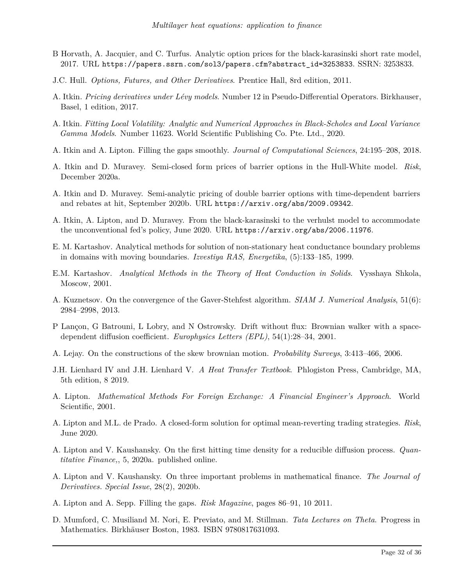- B Horvath, A. Jacquier, and C. Turfus. Analytic option prices for the black-karasinski short rate model, 2017. URL https://papers.ssrn.com/sol3/papers.cfm?abstract\_id=3253833. SSRN: 3253833.
- J.C. Hull. *Options, Futures, and Other Derivatives*. Prentice Hall, 8rd edition, 2011.
- A. Itkin. *Pricing derivatives under Lévy models*. Number 12 in Pseudo-Differential Operators. Birkhauser, Basel, 1 edition, 2017.
- A. Itkin. *Fitting Local Volatility: Analytic and Numerical Approaches in Black-Scholes and Local Variance Gamma Models*. Number 11623. World Scientific Publishing Co. Pte. Ltd., 2020.
- A. Itkin and A. Lipton. Filling the gaps smoothly. *Journal of Computational Sciences*, 24:195–208, 2018.
- A. Itkin and D. Muravey. Semi-closed form prices of barrier options in the Hull-White model. *Risk*, December 2020a.
- A. Itkin and D. Muravey. Semi-analytic pricing of double barrier options with time-dependent barriers and rebates at hit, September 2020b. URL https://arxiv.org/abs/2009.09342.
- A. Itkin, A. Lipton, and D. Muravey. From the black-karasinski to the verhulst model to accommodate the unconventional fed's policy, June 2020. URL https://arxiv.org/abs/2006.11976.
- E. M. Kartashov. Analytical methods for solution of non-stationary heat conductance boundary problems in domains with moving boundaries. *Izvestiya RAS, Energetika*, (5):133–185, 1999.
- E.M. Kartashov. *Analytical Methods in the Theory of Heat Conduction in Solids*. Vysshaya Shkola, Moscow, 2001.
- A. Kuznetsov. On the convergence of the Gaver-Stehfest algorithm. *SIAM J. Numerical Analysis*, 51(6): 2984–2998, 2013.
- P Lançon, G Batrouni, L Lobry, and N Ostrowsky. Drift without flux: Brownian walker with a spacedependent diffusion coefficient. *Europhysics Letters (EPL)*, 54(1):28–34, 2001.
- A. Lejay. On the constructions of the skew brownian motion. *Probability Surveys*, 3:413–466, 2006.
- J.H. Lienhard IV and J.H. Lienhard V. *A Heat Transfer Textbook*. Phlogiston Press, Cambridge, MA, 5th edition, 8 2019.
- A. Lipton. *Mathematical Methods For Foreign Exchange: A Financial Engineer's Approach*. World Scientific, 2001.
- A. Lipton and M.L. de Prado. A closed-form solution for optimal mean-reverting trading strategies. *Risk*, June 2020.
- A. Lipton and V. Kaushansky. On the first hitting time density for a reducible diffusion process. *Quantitative Finance,*, 5, 2020a. published online.
- A. Lipton and V. Kaushansky. On three important problems in mathematical finance. *The Journal of Derivatives. Special Issue*, 28(2), 2020b.
- A. Lipton and A. Sepp. Filling the gaps. *Risk Magazine*, pages 86–91, 10 2011.
- D. Mumford, C. Musiliand M. Nori, E. Previato, and M. Stillman. *Tata Lectures on Theta*. Progress in Mathematics. Birkhäuser Boston, 1983. ISBN 9780817631093.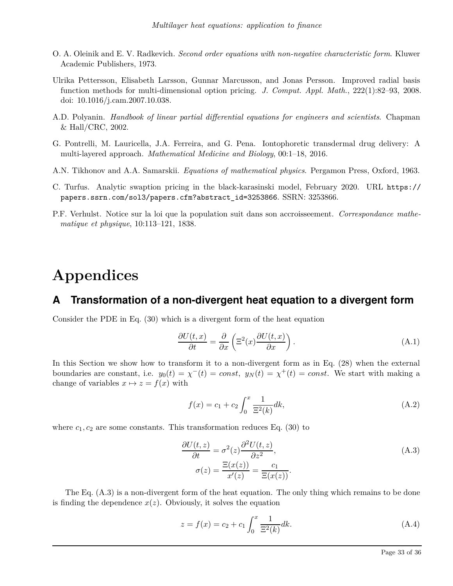- O. A. Oleinik and E. V. Radkevich. *Second order equations with non-negative characteristic form*. Kluwer Academic Publishers, 1973.
- Ulrika Pettersson, Elisabeth Larsson, Gunnar Marcusson, and Jonas Persson. Improved radial basis function methods for multi-dimensional option pricing. *J. Comput. Appl. Math.*, 222(1):82–93, 2008. doi: 10.1016/j.cam.2007.10.038.
- A.D. Polyanin. *Handbook of linear partial differential equations for engineers and scientists*. Chapman & Hall/CRC, 2002.
- G. Pontrelli, M. Lauricella, J.A. Ferreira, and G. Pena. Iontophoretic transdermal drug delivery: A multi-layered approach. *Mathematical Medicine and Biology*, 00:1–18, 2016.
- A.N. Tikhonov and A.A. Samarskii. *Equations of mathematical physics*. Pergamon Press, Oxford, 1963.
- C. Turfus. Analytic swaption pricing in the black-karasinski model, February 2020. URL https:// papers.ssrn.com/sol3/papers.cfm?abstract\_id=3253866. SSRN: 3253866.
- P.F. Verhulst. Notice sur la loi que la population suit dans son accroisseement. *Correspondance mathematique et physique*, 10:113–121, 1838.

# **Appendices**

### **A Transformation of a non-divergent heat equation to a divergent form**

Consider the PDE in Eq. (30) which is a divergent form of the heat equation

$$
\frac{\partial U(t,x)}{\partial t} = \frac{\partial}{\partial x} \left( \Xi^2(x) \frac{\partial U(t,x)}{\partial x} \right). \tag{A.1}
$$

In this Section we show how to transform it to a non-divergent form as in Eq. (28) when the external boundaries are constant, i.e.  $y_0(t) = \chi^-(t) = const$ ,  $y_N(t) = \chi^+(t) = const$ . We start with making a change of variables  $x \mapsto z = f(x)$  with

$$
f(x) = c_1 + c_2 \int_0^x \frac{1}{\Xi^2(k)} dk,
$$
\n(A.2)

where  $c_1, c_2$  are some constants. This transformation reduces Eq.  $(30)$  to

$$
\frac{\partial U(t,z)}{\partial t} = \sigma^2(z) \frac{\partial^2 U(t,z)}{\partial z^2},
$$
  
\n
$$
\sigma(z) = \frac{\Xi(x(z))}{x'(z)} = \frac{c_1}{\Xi(x(z))}.
$$
\n(A.3)

The Eq. (A.3) is a non-divergent form of the heat equation. The only thing which remains to be done is finding the dependence  $x(z)$ . Obviously, it solves the equation

$$
z = f(x) = c_2 + c_1 \int_0^x \frac{1}{\Xi^2(k)} dk.
$$
 (A.4)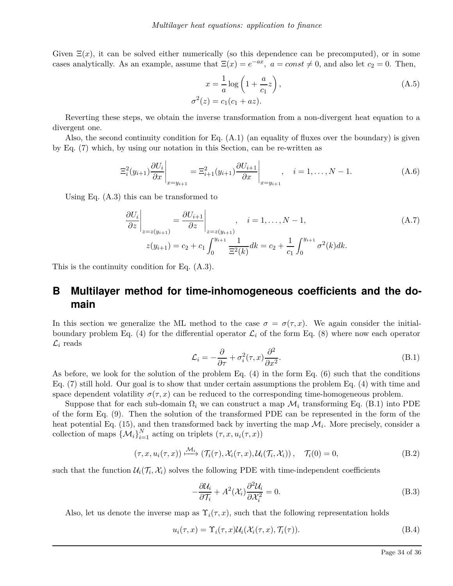Given  $\Xi(x)$ , it can be solved either numerically (so this dependence can be precomputed), or in some cases analytically. As an example, assume that  $\Xi(x) = e^{-ax}$ ,  $a = const \neq 0$ , and also let  $c_2 = 0$ . Then,

$$
x = \frac{1}{a} \log \left( 1 + \frac{a}{c_1} z \right),
$$
  
\n
$$
f^{2}(z) = c_1 (c_1 + az).
$$
\n(A.5)

Reverting these steps, we obtain the inverse transformation from a non-divergent heat equation to a divergent one.

*σ*

Also, the second continuity condition for Eq. (A.1) (an equality of fluxes over the boundary) is given by Eq. (7) which, by using our notation in this Section, can be re-written as

$$
\Xi_i^2(y_{i+1}) \frac{\partial U_i}{\partial x}\Big|_{x=y_{i+1}} = \Xi_{i+1}^2(y_{i+1}) \frac{\partial U_{i+1}}{\partial x}\Big|_{x=y_{i+1}}, \quad i = 1, ..., N-1.
$$
 (A.6)

Using Eq. (A.3) this can be transformed to

$$
\frac{\partial U_i}{\partial z}\Big|_{z=z(y_{i+1})} = \frac{\partial U_{i+1}}{\partial z}\Big|_{z=z(y_{i+1})}, \quad i = 1, ..., N-1,
$$
\n
$$
z(y_{i+1}) = c_2 + c_1 \int_0^{y_{i+1}} \frac{1}{\Xi^2(k)} dk = c_2 + \frac{1}{c_1} \int_0^{y_{i+1}} \sigma^2(k) dk.
$$
\n(A.7)

This is the continuity condition for Eq. (A.3).

# **B Multilayer method for time-inhomogeneous coefficients and the domain**

In this section we generalize the ML method to the case  $\sigma = \sigma(\tau, x)$ . We again consider the initialboundary problem Eq. (4) for the differential operator  $\mathcal{L}_i$  of the form Eq. (8) where now each operator  $\mathcal{L}_i$  reads

$$
\mathcal{L}_i = -\frac{\partial}{\partial \tau} + \sigma_i^2(\tau, x) \frac{\partial^2}{\partial x^2}.
$$
\n(B.1)

As before, we look for the solution of the problem Eq. (4) in the form Eq. (6) such that the conditions Eq. (7) still hold. Our goal is to show that under certain assumptions the problem Eq. (4) with time and space dependent volatility  $\sigma(\tau, x)$  can be reduced to the corresponding time-homogeneous problem.

Suppose that for each sub-domain  $\Omega_i$  we can construct a map  $\mathcal{M}_i$  transforming Eq. (B.1) into PDE of the form Eq. (9). Then the solution of the transformed PDE can be represented in the form of the heat potential Eq. (15), and then transformed back by inverting the map  $\mathcal{M}_i$ . More precisely, consider a collection of maps  $\{\mathcal{M}_i\}_{i=1}^N$  acting on triplets  $(\tau, x, u_i(\tau, x))$ 

$$
(\tau, x, u_i(\tau, x)) \xrightarrow{\mathcal{M}_i} (\mathcal{T}_i(\tau), \mathcal{X}_i(\tau, x), \mathcal{U}_i(\mathcal{T}_i, \mathcal{X}_i)), \quad \mathcal{T}_i(0) = 0,
$$
 (B.2)

such that the function  $\mathcal{U}_i(\mathcal{T}_i, \mathcal{X}_i)$  solves the following PDE with time-independent coefficients

$$
-\frac{\partial \mathcal{U}_i}{\partial \mathcal{T}_i} + A^2(\mathcal{X}_i) \frac{\partial^2 \mathcal{U}_i}{\partial \mathcal{X}_i^2} = 0.
$$
 (B.3)

Also, let us denote the inverse map as  $\Upsilon_i(\tau, x)$ , such that the following representation holds

$$
u_i(\tau, x) = \Upsilon_i(\tau, x) \mathcal{U}_i(\mathcal{X}_i(\tau, x), \mathcal{T}_i(\tau)).
$$
\n(B.4)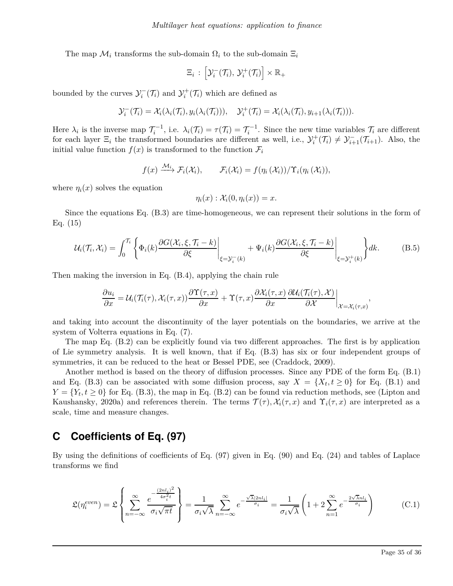The map  $\mathcal{M}_i$  transforms the sub-domain  $\Omega_i$  to the sub-domain  $\Xi_i$ 

$$
\Xi_i: \left[\mathcal{Y}_i^-(\mathcal{T}_i), \, \mathcal{Y}_i^+(\mathcal{T}_i)\right] \times \mathbb{R}_+
$$

bounded by the curves  $\mathcal{Y}_i^-(\mathcal{T}_i)$  and  $\mathcal{Y}_i^+(\mathcal{T}_i)$  which are defined as

$$
\mathcal{Y}_i^-(\mathcal{T}_i)=\mathcal{X}_i(\lambda_i(\mathcal{T}_i),y_i(\lambda_i(\mathcal{T}_i))), \quad \mathcal{Y}_i^+(\mathcal{T}_i)=\mathcal{X}_i(\lambda_i(\mathcal{T}_i),y_{i+1}(\lambda_i(\mathcal{T}_i))).
$$

Here  $\lambda_i$  is the inverse map  $\mathcal{T}_i^{-1}$ , i.e.  $\lambda_i(\mathcal{T}_i) = \tau(\mathcal{T}_i) = \mathcal{T}_i^{-1}$ . Since the new time variables  $\mathcal{T}_i$  are different for each layer  $\Xi_i$  the transformed boundaries are different as well, i.e.,  $\mathcal{Y}_i^+(\mathcal{T}_i) \neq \mathcal{Y}_{i+1}^-(\mathcal{T}_{i+1})$ . Also, the initial value function  $f(x)$  is transformed to the function  $\mathcal{F}_i$ 

$$
f(x) \xrightarrow{\mathcal{M}_i} \mathcal{F}_i(\mathcal{X}_i), \qquad \mathcal{F}_i(\mathcal{X}_i) = f(\eta_i(\mathcal{X}_i))/\Upsilon_i(\eta_i(\mathcal{X}_i)),
$$

where  $\eta_i(x)$  solves the equation

$$
\eta_i(x): \mathcal{X}_i(0, \eta_i(x)) = x.
$$

Since the equations Eq. (B.3) are time-homogeneous, we can represent their solutions in the form of Eq. (15)

$$
\mathcal{U}_i(\mathcal{T}_i, \mathcal{X}_i) = \int_0^{\mathcal{T}_i} \left\{ \Phi_i(k) \frac{\partial G(\mathcal{X}_i, \xi, \mathcal{T}_i - k)}{\partial \xi} \Big|_{\xi = \mathcal{Y}_i^-(k)} + \Psi_i(k) \frac{\partial G(\mathcal{X}_i, \xi, \mathcal{T}_i - k)}{\partial \xi} \Big|_{\xi = \mathcal{Y}_i^+(k)} \right\} dk.
$$
(B.5)

Then making the inversion in Eq. (B.4), applying the chain rule

$$
\frac{\partial u_i}{\partial x} = \mathcal{U}_i(\mathcal{T}_i(\tau), \mathcal{X}_i(\tau, x)) \frac{\partial \Upsilon(\tau, x)}{\partial x} + \Upsilon(\tau, x) \frac{\partial \mathcal{X}_i(\tau, x)}{\partial x} \frac{\partial \mathcal{U}_i(\Upsilon(\tau), \mathcal{X})}{\partial \mathcal{X}} \bigg|_{\mathcal{X} = \mathcal{X}_i(\tau, x)},
$$

and taking into account the discontinuity of the layer potentials on the boundaries, we arrive at the system of Volterra equations in Eq. (7).

The map Eq. (B.2) can be explicitly found via two different approaches. The first is by application of Lie symmetry analysis. It is well known, that if Eq. (B.3) has six or four independent groups of symmetries, it can be reduced to the heat or Bessel PDE, see (Craddock, 2009).

Another method is based on the theory of diffusion processes. Since any PDE of the form Eq. (B.1) and Eq. (B.3) can be associated with some diffusion process, say  $X = \{X_t, t \ge 0\}$  for Eq. (B.1) and  $Y = \{Y_t, t \ge 0\}$  for Eq. (B.3), the map in Eq. (B.2) can be found via reduction methods, see (Lipton and Kaushansky, 2020a) and references therein. The terms  $\mathcal{T}(\tau)$ ,  $\mathcal{X}_i(\tau,x)$  and  $\Upsilon_i(\tau,x)$  are interpreted as a scale, time and measure changes.

## **C Coefficients of Eq. (97)**

By using the definitions of coefficients of Eq. (97) given in Eq. (90) and Eq. (24) and tables of Laplace transforms we find

$$
\mathfrak{L}(\eta_i^{even}) = \mathfrak{L}\left\{\sum_{n=-\infty}^{\infty} \frac{e^{-\frac{(2nl_i)^2}{4\sigma_i^2 t}}}{\sigma_i \sqrt{\pi t}}\right\} = \frac{1}{\sigma_i \sqrt{\lambda}} \sum_{n=-\infty}^{\infty} e^{-\frac{\sqrt{\lambda}|2nl_i|}{\sigma_i}} = \frac{1}{\sigma_i \sqrt{\lambda}} \left(1 + 2 \sum_{n=1}^{\infty} e^{-\frac{2\sqrt{\lambda}nl_i}{\sigma_i}}\right) \tag{C.1}
$$